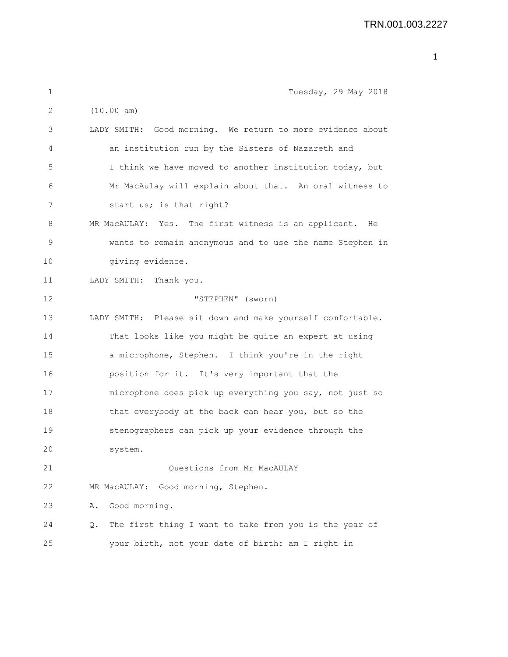| 1  | Tuesday, 29 May 2018                                         |
|----|--------------------------------------------------------------|
| 2  | (10.00 am)                                                   |
| 3  | LADY SMITH: Good morning. We return to more evidence about   |
| 4  | an institution run by the Sisters of Nazareth and            |
| 5  | I think we have moved to another institution today, but      |
| 6  | Mr MacAulay will explain about that. An oral witness to      |
| 7  | start us; is that right?                                     |
| 8  | MR MacAULAY: Yes. The first witness is an applicant. He      |
| 9  | wants to remain anonymous and to use the name Stephen in     |
| 10 | giving evidence.                                             |
| 11 | LADY SMITH: Thank you.                                       |
| 12 | "STEPHEN" (sworn)                                            |
| 13 | LADY SMITH: Please sit down and make yourself comfortable.   |
| 14 | That looks like you might be quite an expert at using        |
| 15 | a microphone, Stephen. I think you're in the right           |
| 16 | position for it. It's very important that the                |
| 17 | microphone does pick up everything you say, not just so      |
| 18 | that everybody at the back can hear you, but so the          |
| 19 | stenographers can pick up your evidence through the          |
| 20 | system.                                                      |
| 21 | Questions from Mr MacAULAY                                   |
| 22 | MR MacAULAY: Good morning, Stephen.                          |
| 23 | Good morning.<br>Α.                                          |
| 24 | The first thing I want to take from you is the year of<br>Q. |
| 25 | your birth, not your date of birth: am I right in            |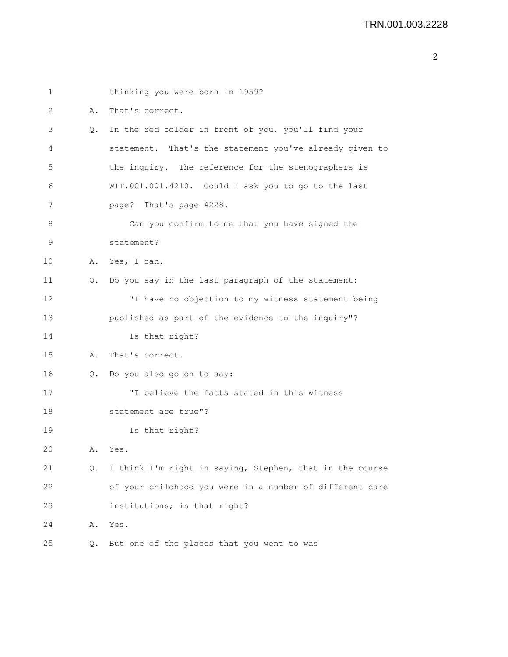| $\mathbf 1$ |               | thinking you were born in 1959?                          |
|-------------|---------------|----------------------------------------------------------|
| 2           | Α.            | That's correct.                                          |
| 3           | Q.            | In the red folder in front of you, you'll find your      |
| 4           |               | statement. That's the statement you've already given to  |
| 5           |               | the inquiry. The reference for the stenographers is      |
| 6           |               | WIT.001.001.4210. Could I ask you to go to the last      |
| 7           |               | page? That's page 4228.                                  |
| 8           |               | Can you confirm to me that you have signed the           |
| 9           |               | statement?                                               |
| 10          | Α.            | Yes, I can.                                              |
| 11          | О.            | Do you say in the last paragraph of the statement:       |
| 12          |               | "I have no objection to my witness statement being       |
| 13          |               | published as part of the evidence to the inquiry"?       |
| 14          |               | Is that right?                                           |
| 15          | Α.            | That's correct.                                          |
| 16          | $\circ$ .     | Do you also go on to say:                                |
| 17          |               | "I believe the facts stated in this witness              |
| 18          |               | statement are true"?                                     |
| 19          |               | Is that right?                                           |
| 20          | Α.            | Yes.                                                     |
| 21          | $Q_{\bullet}$ | I think I'm right in saying, Stephen, that in the course |
| 22          |               | of your childhood you were in a number of different care |
| 23          |               | institutions; is that right?                             |
| 24          | Α.            | Yes.                                                     |
| 25          | Q.            | But one of the places that you went to was               |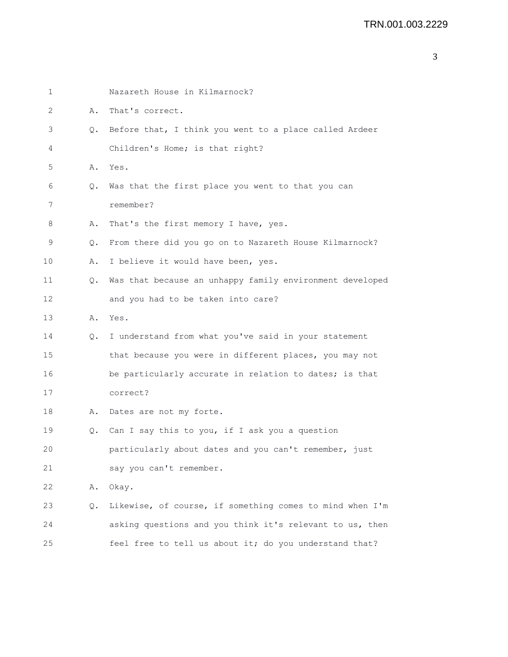| 1  |           | Nazareth House in Kilmarnock?                            |
|----|-----------|----------------------------------------------------------|
| 2  | Α.        | That's correct.                                          |
| 3  | $\circ$ . | Before that, I think you went to a place called Ardeer   |
| 4  |           | Children's Home; is that right?                          |
| 5  | Α.        | Yes.                                                     |
| 6  | Q.        | Was that the first place you went to that you can        |
| 7  |           | remember?                                                |
| 8  | Α.        | That's the first memory I have, yes.                     |
| 9  | Q.        | From there did you go on to Nazareth House Kilmarnock?   |
| 10 | Α.        | I believe it would have been, yes.                       |
| 11 | Q.        | Was that because an unhappy family environment developed |
| 12 |           | and you had to be taken into care?                       |
| 13 | Α.        | Yes.                                                     |
| 14 | Q.        | I understand from what you've said in your statement     |
| 15 |           | that because you were in different places, you may not   |
| 16 |           | be particularly accurate in relation to dates; is that   |
| 17 |           | correct?                                                 |
| 18 | Α.        | Dates are not my forte.                                  |
| 19 | Q.        | Can I say this to you, if I ask you a question           |
| 20 |           | particularly about dates and you can't remember, just    |
| 21 |           | say you can't remember.                                  |
| 22 | Α.        | Okay.                                                    |
| 23 | Q.        | Likewise, of course, if something comes to mind when I'm |
| 24 |           | asking questions and you think it's relevant to us, then |
| 25 |           | feel free to tell us about it; do you understand that?   |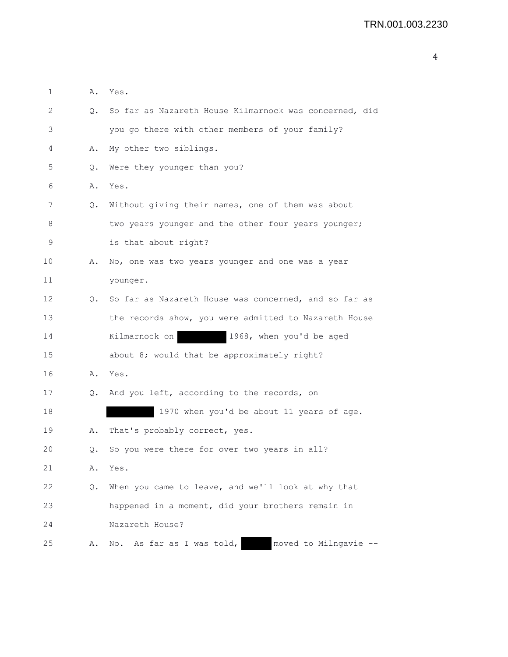| 1  | Α.        | Yes.                                                   |
|----|-----------|--------------------------------------------------------|
| 2  | $\circ$ . | So far as Nazareth House Kilmarnock was concerned, did |
| 3  |           | you go there with other members of your family?        |
| 4  | Α.        | My other two siblings.                                 |
| 5  | Q.        | Were they younger than you?                            |
| 6  | Α.        | Yes.                                                   |
| 7  | Q.        | Without giving their names, one of them was about      |
| 8  |           | two years younger and the other four years younger;    |
| 9  |           | is that about right?                                   |
| 10 | Α.        | No, one was two years younger and one was a year       |
| 11 |           | younger.                                               |
| 12 | Q.        | So far as Nazareth House was concerned, and so far as  |
| 13 |           | the records show, you were admitted to Nazareth House  |
| 14 |           | Kilmarnock on<br>1968, when you'd be aged              |
| 15 |           | about 8; would that be approximately right?            |
| 16 | Α.        | Yes.                                                   |
| 17 |           | Q. And you left, according to the records, on          |
| 18 |           | 1970 when you'd be about 11 years of age.              |
| 19 | Α.        | That's probably correct, yes.                          |
| 20 | Q.        | So you were there for over two years in all?           |
| 21 | Α.        | Yes.                                                   |
| 22 | Q.        | When you came to leave, and we'll look at why that     |
| 23 |           | happened in a moment, did your brothers remain in      |
| 24 |           | Nazareth House?                                        |
| 25 | Α.        | moved to Milngavie --<br>As far as I was told,<br>No.  |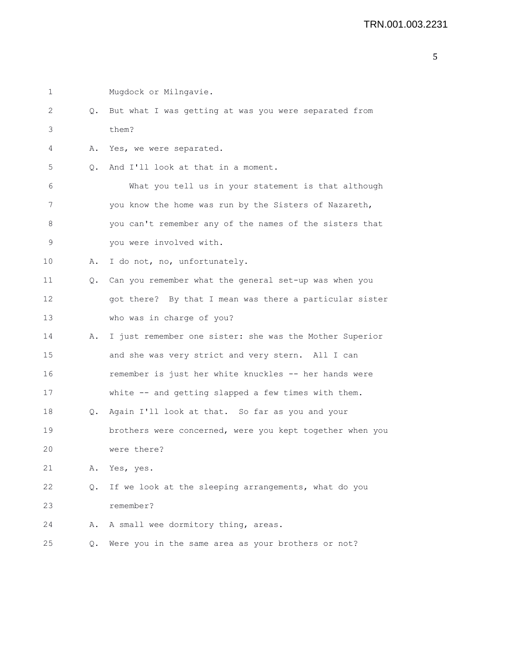| 1  |    | Mugdock or Milngavie.                                    |
|----|----|----------------------------------------------------------|
| 2  |    | Q. But what I was getting at was you were separated from |
| 3  |    | them?                                                    |
| 4  | Α. | Yes, we were separated.                                  |
| 5  | 0. | And I'll look at that in a moment.                       |
| 6  |    | What you tell us in your statement is that although      |
| 7  |    | you know the home was run by the Sisters of Nazareth,    |
| 8  |    | you can't remember any of the names of the sisters that  |
| 9  |    | you were involved with.                                  |
| 10 | Α. | I do not, no, unfortunately.                             |
| 11 | Q. | Can you remember what the general set-up was when you    |
| 12 |    | got there? By that I mean was there a particular sister  |
| 13 |    | who was in charge of you?                                |
| 14 | Α. | I just remember one sister: she was the Mother Superior  |
| 15 |    | and she was very strict and very stern. All I can        |
| 16 |    | remember is just her white knuckles -- her hands were    |
| 17 |    | white -- and getting slapped a few times with them.      |
| 18 | Q. | Again I'll look at that. So far as you and your          |
| 19 |    | brothers were concerned, were you kept together when you |
| 20 |    | were there?                                              |
| 21 | Α. | Yes, yes.                                                |
| 22 | Q. | If we look at the sleeping arrangements, what do you     |
| 23 |    | remember?                                                |
| 24 | Α. | A small wee dormitory thing, areas.                      |
| 25 | Q. | Were you in the same area as your brothers or not?       |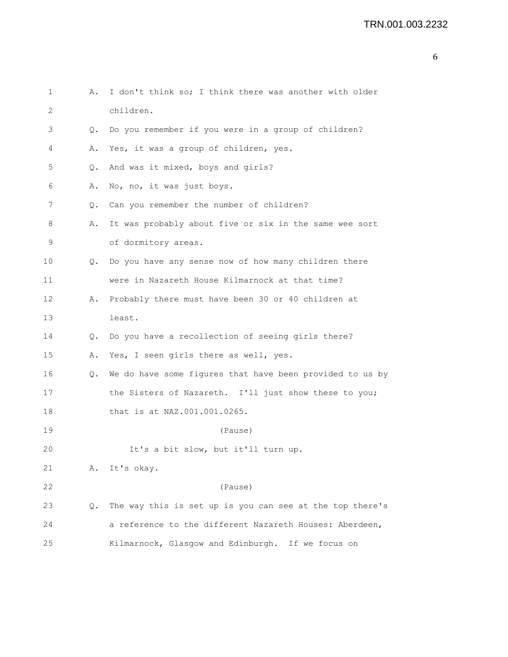```
6
```

```
1 A. I don't think so; I think there was another with older
2 children.
3 Q. Do you remember if you were in a group of children?
4 A. Yes, it was a group of children, yes.
5 Q. And was it mixed, boys and girls?
6 A. No, no, it was just boys.
7 Q. Can you remember the number of children?
8 A. It was probably about five or six in the same wee sort
9 of dormitory areas.
10 Q. Do you have any sense now of how many children there
11 were in Nazareth House Kilmarnock at that time?
12 A. Probably there must have been 30 or 40 children at
13 least.
14 Q. Do you have a recollection of seeing girls there?
15 A. Yes, I seen girls there as well, yes.
16 Q. We do have some figures that have been provided to us by
17 the Sisters of Nazareth. I'll just show these to you;
18 that is at NAZ.001.001.0265.
19 (Pause)
20 It's a bit slow, but it'll turn up.
21 A. It's okay.
22 (Pause)
23 Q. The way this is set up is you can see at the top there's
24 a reference to the different Nazareth Houses: Aberdeen,
25 Kilmarnock, Glasgow and Edinburgh. If we focus on
```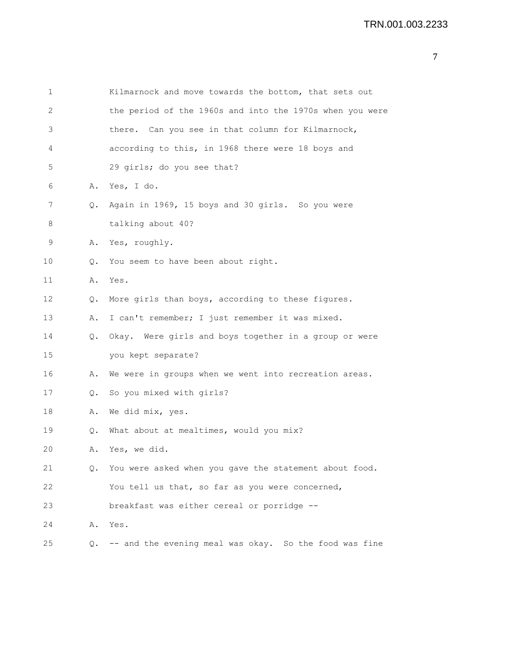| $\mathbf 1$     |               | Kilmarnock and move towards the bottom, that sets out     |
|-----------------|---------------|-----------------------------------------------------------|
| $\mathbf{2}$    |               | the period of the 1960s and into the 1970s when you were  |
| 3               |               | there. Can you see in that column for Kilmarnock,         |
| 4               |               | according to this, in 1968 there were 18 boys and         |
| 5               |               | 29 girls; do you see that?                                |
| 6               |               | A. Yes, I do.                                             |
| 7               | Q.            | Again in 1969, 15 boys and 30 girls. So you were          |
| 8               |               | talking about 40?                                         |
| 9               | Α.            | Yes, roughly.                                             |
| 10              | Q.            | You seem to have been about right.                        |
| 11              | Α.            | Yes.                                                      |
| 12 <sup>°</sup> | $Q_{\bullet}$ | More girls than boys, according to these figures.         |
| 13              | Α.            | I can't remember; I just remember it was mixed.           |
| 14              |               | Q. Okay. Were girls and boys together in a group or were  |
| 15              |               | you kept separate?                                        |
| 16              | Α.            | We were in groups when we went into recreation areas.     |
| 17              | Q.            | So you mixed with girls?                                  |
| 18              | Α.            | We did mix, yes.                                          |
| 19              | Q.            | What about at mealtimes, would you mix?                   |
| 20              | Α.            | Yes, we did.                                              |
| 21              | Q.            | You were asked when you gave the statement about food.    |
| 22              |               | You tell us that, so far as you were concerned,           |
| 23              |               | breakfast was either cereal or porridge --                |
| 24              | Α.            | Yes.                                                      |
| 25              |               | Q. -- and the evening meal was okay. So the food was fine |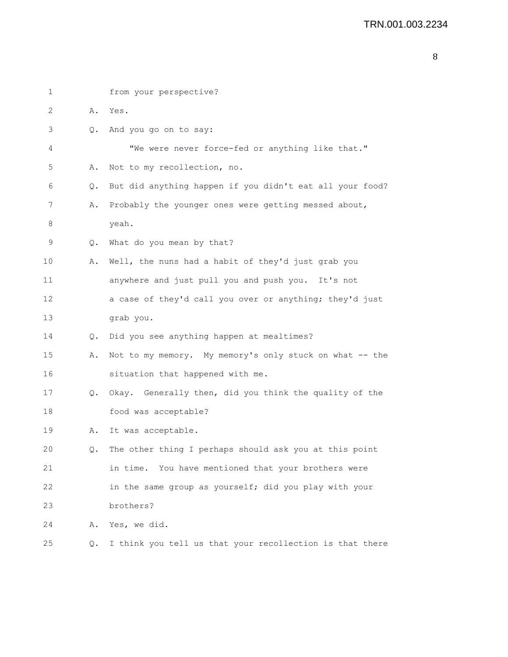```
1 from your perspective?
2 A. Yes.
3 Q. And you go on to say:
4 "We were never force-fed or anything like that."
5 A. Not to my recollection, no.
6 Q. But did anything happen if you didn't eat all your food?
7 A. Probably the younger ones were getting messed about,
8 yeah.
9 Q. What do you mean by that?
10 A. Well, the nuns had a habit of they'd just grab you
11 anywhere and just pull you and push you. It's not
12 a case of they'd call you over or anything; they'd just
13 grab you.
14 Q. Did you see anything happen at mealtimes?
15 A. Not to my memory. My memory's only stuck on what -- the
16 situation that happened with me.
17 Q. Okay. Generally then, did you think the quality of the
18 food was acceptable?
19 A. It was acceptable.
20 Q. The other thing I perhaps should ask you at this point
21 in time. You have mentioned that your brothers were
22 in the same group as yourself; did you play with your
23 brothers?
24 A. Yes, we did.
25 Q. I think you tell us that your recollection is that there
```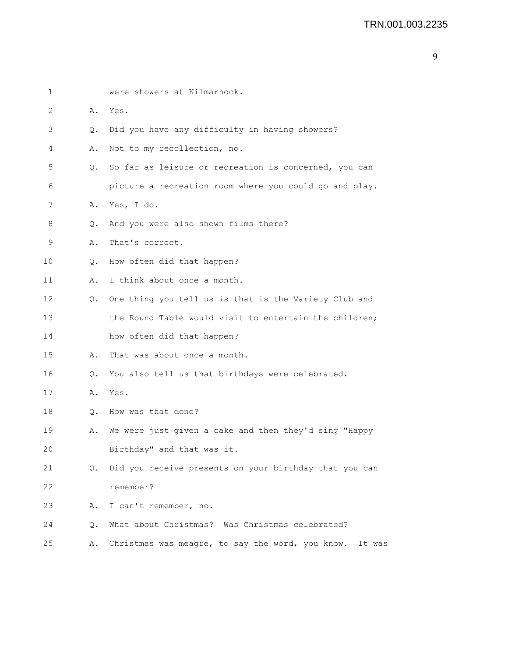| $\mathbf 1$ |           | were showers at Kilmarnock.                             |
|-------------|-----------|---------------------------------------------------------|
| 2           | Α.        | Yes.                                                    |
| 3           | Q.        | Did you have any difficulty in having showers?          |
| 4           | Α.        | Not to my recollection, no.                             |
| 5           | 0.        | So far as leisure or recreation is concerned, you can   |
| 6           |           | picture a recreation room where you could go and play.  |
| 7           | Α.        | Yes, I do.                                              |
| 8           | Q.        | And you were also shown films there?                    |
| 9           | Α.        | That's correct.                                         |
| 10          | Q.        | How often did that happen?                              |
| 11          | Α.        | I think about once a month.                             |
| 12          | О.        | One thing you tell us is that is the Variety Club and   |
| 13          |           | the Round Table would visit to entertain the children;  |
| 14          |           | how often did that happen?                              |
| 15          | Α.        | That was about once a month.                            |
| 16          | $\circ$ . | You also tell us that birthdays were celebrated.        |
| 17          | Α.        | Yes.                                                    |
| 18          |           | O. How was that done?                                   |
| 19          | Α.        | We were just given a cake and then they'd sing "Happy   |
| 20          |           | Birthday" and that was it.                              |
| 21          | Q.        | Did you receive presents on your birthday that you can  |
| 22          |           | remember?                                               |
| 23          | Α.        | I can't remember, no.                                   |
| 24          | О.        | What about Christmas? Was Christmas celebrated?         |
| 25          | Α.        | Christmas was meagre, to say the word, you know. It was |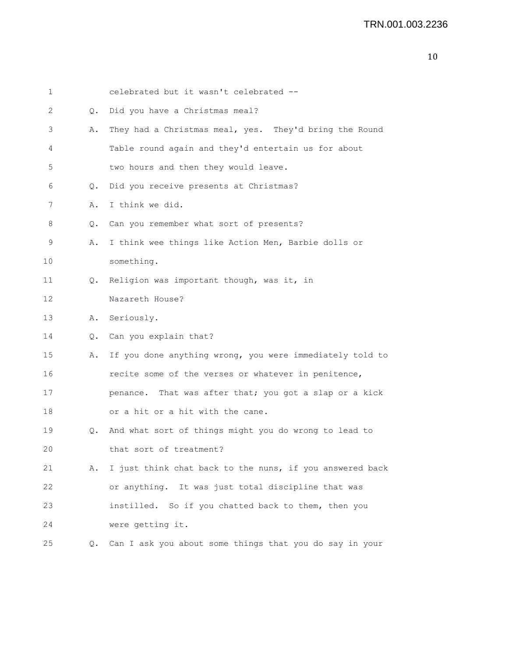| 1  |    | celebrated but it wasn't celebrated --                   |
|----|----|----------------------------------------------------------|
| 2  | Q. | Did you have a Christmas meal?                           |
| 3  | Α. | They had a Christmas meal, yes. They'd bring the Round   |
| 4  |    | Table round again and they'd entertain us for about      |
| 5  |    | two hours and then they would leave.                     |
| 6  | Q. | Did you receive presents at Christmas?                   |
| 7  | Α. | I think we did.                                          |
| 8  | Q. | Can you remember what sort of presents?                  |
| 9  | Α. | I think wee things like Action Men, Barbie dolls or      |
| 10 |    | something.                                               |
| 11 | Q. | Religion was important though, was it, in                |
| 12 |    | Nazareth House?                                          |
| 13 |    | A. Seriously.                                            |
| 14 |    | Q. Can you explain that?                                 |
| 15 | Α. | If you done anything wrong, you were immediately told to |
| 16 |    | recite some of the verses or whatever in penitence,      |
| 17 |    | penance. That was after that; you got a slap or a kick   |
| 18 |    | or a hit or a hit with the cane.                         |
| 19 | Q. | And what sort of things might you do wrong to lead to    |
| 20 |    | that sort of treatment?                                  |
| 21 | Α. | I just think chat back to the nuns, if you answered back |
| 22 |    | or anything. It was just total discipline that was       |
| 23 |    | instilled. So if you chatted back to them, then you      |
| 24 |    | were getting it.                                         |
| 25 | Q. | Can I ask you about some things that you do say in your  |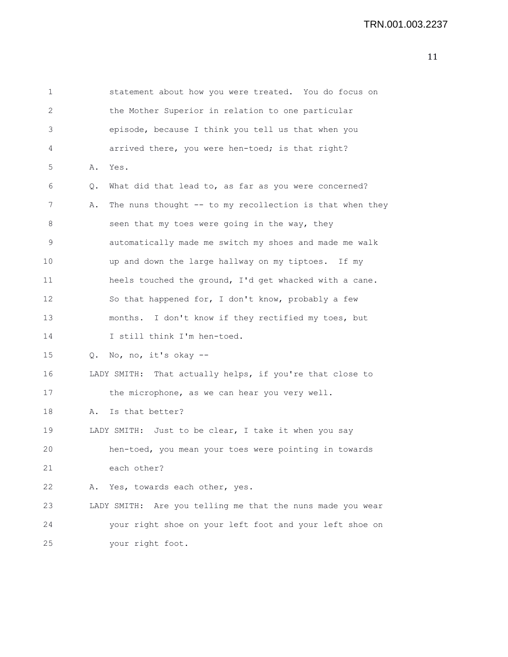| 1  |    | statement about how you were treated. You do focus on      |
|----|----|------------------------------------------------------------|
| 2  |    | the Mother Superior in relation to one particular          |
| 3  |    | episode, because I think you tell us that when you         |
| 4  |    | arrived there, you were hen-toed; is that right?           |
| 5  | Α. | Yes.                                                       |
| 6  | Q. | What did that lead to, as far as you were concerned?       |
| 7  | Α. | The nuns thought -- to my recollection is that when they   |
| 8  |    | seen that my toes were going in the way, they              |
| 9  |    | automatically made me switch my shoes and made me walk     |
| 10 |    | up and down the large hallway on my tiptoes. If my         |
| 11 |    | heels touched the ground, I'd get whacked with a cane.     |
| 12 |    | So that happened for, I don't know, probably a few         |
| 13 |    | months. I don't know if they rectified my toes, but        |
| 14 |    | I still think I'm hen-toed.                                |
| 15 |    | Q. No, no, it's okay --                                    |
| 16 |    | LADY SMITH: That actually helps, if you're that close to   |
| 17 |    | the microphone, as we can hear you very well.              |
| 18 | Α. | Is that better?                                            |
| 19 |    | LADY SMITH: Just to be clear, I take it when you say       |
| 20 |    | hen-toed, you mean your toes were pointing in towards      |
| 21 |    | each other?                                                |
| 22 | Α. | Yes, towards each other, yes.                              |
| 23 |    | LADY SMITH: Are you telling me that the nuns made you wear |
| 24 |    | your right shoe on your left foot and your left shoe on    |
| 25 |    | your right foot.                                           |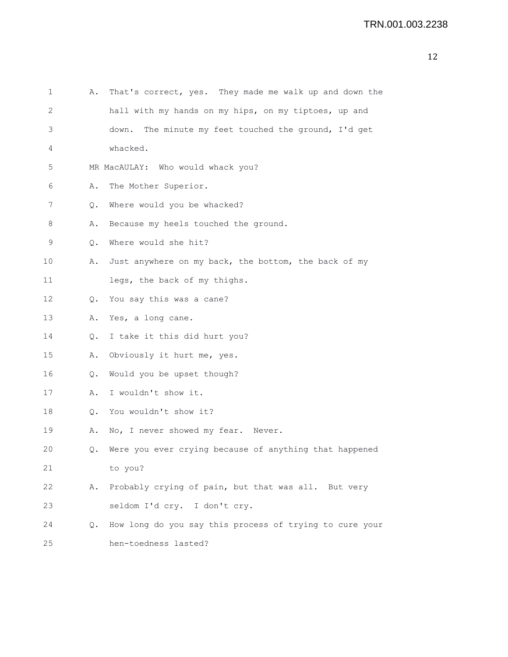| ł |  |
|---|--|
|   |  |

| $\mathbf 1$ | Α.        | That's correct, yes. They made me walk up and down the  |
|-------------|-----------|---------------------------------------------------------|
| 2           |           | hall with my hands on my hips, on my tiptoes, up and    |
| 3           |           | The minute my feet touched the ground, I'd get<br>down. |
| 4           |           | whacked.                                                |
| 5           |           | MR MacAULAY: Who would whack you?                       |
| 6           | Α.        | The Mother Superior.                                    |
| 7           | Q.        | Where would you be whacked?                             |
| 8           | Α.        | Because my heels touched the ground.                    |
| 9           | Q.        | Where would she hit?                                    |
| 10          | Α.        | Just anywhere on my back, the bottom, the back of my    |
| 11          |           | legs, the back of my thighs.                            |
| 12          | $\circ$ . | You say this was a cane?                                |
| 13          | Α.        | Yes, a long cane.                                       |
| 14          | $Q$ .     | I take it this did hurt you?                            |
| 15          | Α.        | Obviously it hurt me, yes.                              |
| 16          | $Q$ .     | Would you be upset though?                              |
| 17          | Α.        | I wouldn't show it.                                     |
| 18          | Q.        | You wouldn't show it?                                   |
| 19          | Α.        | No, I never showed my fear.<br>Never.                   |
| 20          | Q.        | Were you ever crying because of anything that happened  |
| 21          |           | to you?                                                 |
| 22          | Α.        | Probably crying of pain, but that was all. But very     |
| 23          |           | seldom I'd cry. I don't cry.                            |
| 24          | Q.        | How long do you say this process of trying to cure your |
| 25          |           | hen-toedness lasted?                                    |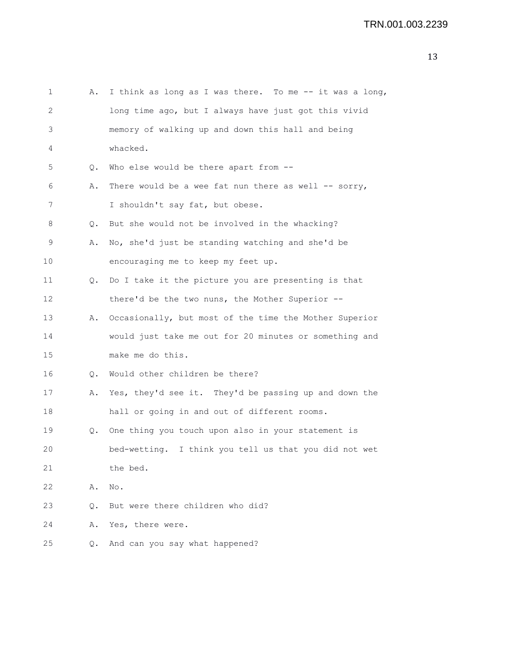| Α.        | I think as long as I was there. To me -- it was a long, |
|-----------|---------------------------------------------------------|
|           | long time ago, but I always have just got this vivid    |
|           | memory of walking up and down this hall and being       |
|           | whacked.                                                |
| Q.        | Who else would be there apart from --                   |
| Α.        | There would be a wee fat nun there as well -- sorry,    |
|           | I shouldn't say fat, but obese.                         |
| Q.        | But she would not be involved in the whacking?          |
| Α.        | No, she'd just be standing watching and she'd be        |
|           | encouraging me to keep my feet up.                      |
| Q.        | Do I take it the picture you are presenting is that     |
|           | there'd be the two nuns, the Mother Superior --         |
| Α.        | Occasionally, but most of the time the Mother Superior  |
|           | would just take me out for 20 minutes or something and  |
|           | make me do this.                                        |
| Q.        | Would other children be there?                          |
| Α.        | Yes, they'd see it. They'd be passing up and down the   |
|           | hall or going in and out of different rooms.            |
| Q.        | One thing you touch upon also in your statement is      |
|           | bed-wetting. I think you tell us that you did not wet   |
|           | the bed.                                                |
| Α.        | No.                                                     |
| О.        | But were there children who did?                        |
| Α.        | Yes, there were.                                        |
| $\circ$ . | And can you say what happened?                          |
|           |                                                         |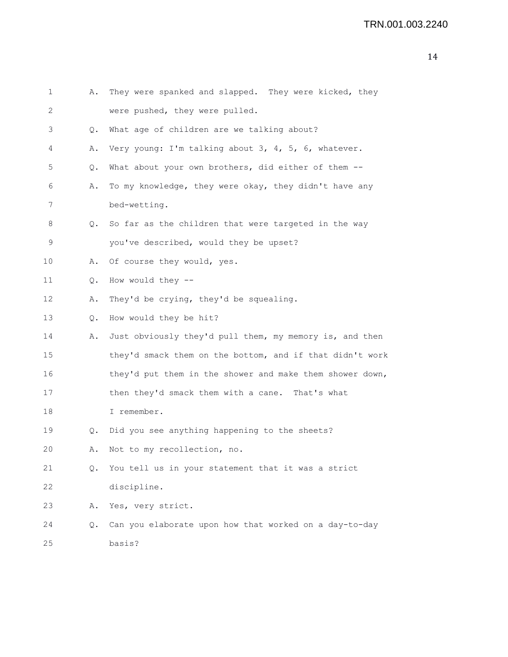| 1  | Α.            | They were spanked and slapped. They were kicked, they    |
|----|---------------|----------------------------------------------------------|
| 2  |               | were pushed, they were pulled.                           |
| 3  | Q.            | What age of children are we talking about?               |
| 4  | Α.            | Very young: I'm talking about 3, 4, 5, 6, whatever.      |
| 5  | Q.            | What about your own brothers, did either of them --      |
| 6  | Α.            | To my knowledge, they were okay, they didn't have any    |
| 7  |               | bed-wetting.                                             |
| 8  | О.            | So far as the children that were targeted in the way     |
| 9  |               | you've described, would they be upset?                   |
| 10 | Α.            | Of course they would, yes.                               |
| 11 | Q.            | How would they --                                        |
| 12 | Α.            | They'd be crying, they'd be squealing.                   |
| 13 | Q.            | How would they be hit?                                   |
| 14 | Α.            | Just obviously they'd pull them, my memory is, and then  |
| 15 |               | they'd smack them on the bottom, and if that didn't work |
| 16 |               | they'd put them in the shower and make them shower down, |
| 17 |               | then they'd smack them with a cane. That's what          |
| 18 |               | I remember.                                              |
| 19 | Q.            | Did you see anything happening to the sheets?            |
| 20 | Α.            | Not to my recollection, no.                              |
| 21 | $Q_{\bullet}$ | You tell us in your statement that it was a strict       |
| 22 |               | discipline.                                              |
| 23 | Α.            | Yes, very strict.                                        |
| 24 | Q.            | Can you elaborate upon how that worked on a day-to-day   |
| 25 |               | basis?                                                   |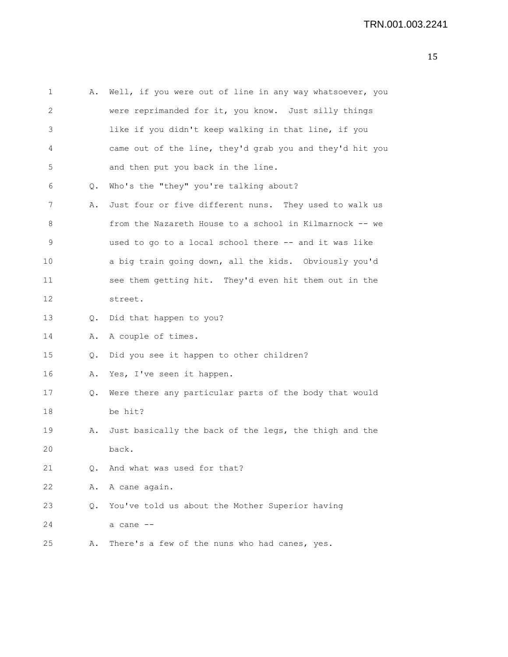| 1  | Α.        | Well, if you were out of line in any way whatsoever, you |
|----|-----------|----------------------------------------------------------|
| 2  |           | were reprimanded for it, you know. Just silly things     |
| 3  |           | like if you didn't keep walking in that line, if you     |
| 4  |           | came out of the line, they'd grab you and they'd hit you |
| 5  |           | and then put you back in the line.                       |
| 6  | Q.        | Who's the "they" you're talking about?                   |
| 7  | Α.        | Just four or five different nuns. They used to walk us   |
| 8  |           | from the Nazareth House to a school in Kilmarnock -- we  |
| 9  |           | used to go to a local school there -- and it was like    |
| 10 |           | a big train going down, all the kids. Obviously you'd    |
| 11 |           | see them getting hit. They'd even hit them out in the    |
| 12 |           | street.                                                  |
| 13 | Q.        | Did that happen to you?                                  |
| 14 | Α.        | A couple of times.                                       |
| 15 | Q.        | Did you see it happen to other children?                 |
| 16 | Α.        | Yes, I've seen it happen.                                |
| 17 | Q.        | Were there any particular parts of the body that would   |
| 18 |           | be hit?                                                  |
| 19 | Α.        | Just basically the back of the legs, the thigh and the   |
| 20 |           | back.                                                    |
| 21 | $\circ$ . | And what was used for that?                              |
| 22 | Α.        | A cane again.                                            |
| 23 | $\circ$ . | You've told us about the Mother Superior having          |
| 24 |           | a cane --                                                |
| 25 | Α.        | There's a few of the nuns who had canes, yes.            |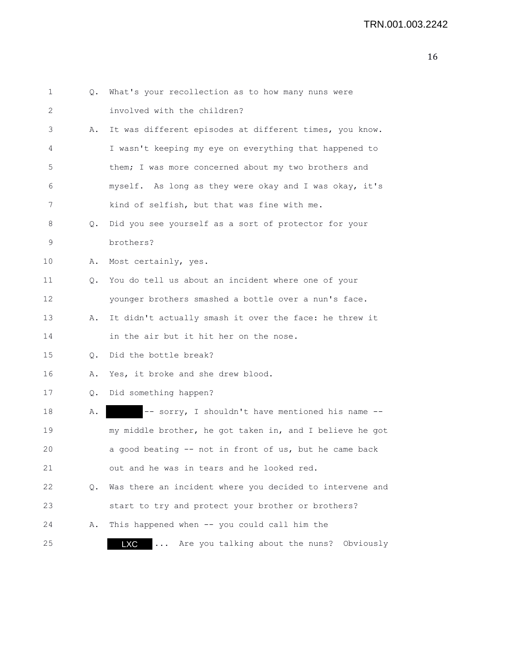| 1  |               | Q. What's your recollection as to how many nuns were                   |
|----|---------------|------------------------------------------------------------------------|
| 2  |               | involved with the children?                                            |
| 3  | Α.            | It was different episodes at different times, you know.                |
| 4  |               | I wasn't keeping my eye on everything that happened to                 |
| 5  |               | them; I was more concerned about my two brothers and                   |
| 6  |               | myself. As long as they were okay and I was okay, it's                 |
| 7  |               | kind of selfish, but that was fine with me.                            |
| 8  | Q.            | Did you see yourself as a sort of protector for your                   |
| 9  |               | brothers?                                                              |
| 10 | Α.            | Most certainly, yes.                                                   |
| 11 | Q.            | You do tell us about an incident where one of your                     |
| 12 |               | younger brothers smashed a bottle over a nun's face.                   |
| 13 | Α.            | It didn't actually smash it over the face: he threw it                 |
| 14 |               | in the air but it hit her on the nose.                                 |
| 15 | $\circ$ .     | Did the bottle break?                                                  |
| 16 | Α.            | Yes, it broke and she drew blood.                                      |
| 17 | $Q_{\bullet}$ | Did something happen?                                                  |
| 18 | Α.            | -- sorry, I shouldn't have mentioned his name --                       |
| 19 |               | my middle brother, he got taken in, and I believe he got               |
| 20 |               | a good beating -- not in front of us, but he came back                 |
| 21 |               | out and he was in tears and he looked red.                             |
| 22 | О.            | Was there an incident where you decided to intervene and               |
| 23 |               | start to try and protect your brother or brothers?                     |
| 24 | Α.            | This happened when -- you could call him the                           |
| 25 |               | Are you talking about the nuns?<br>Obviously<br><b>LXC</b><br>$\cdots$ |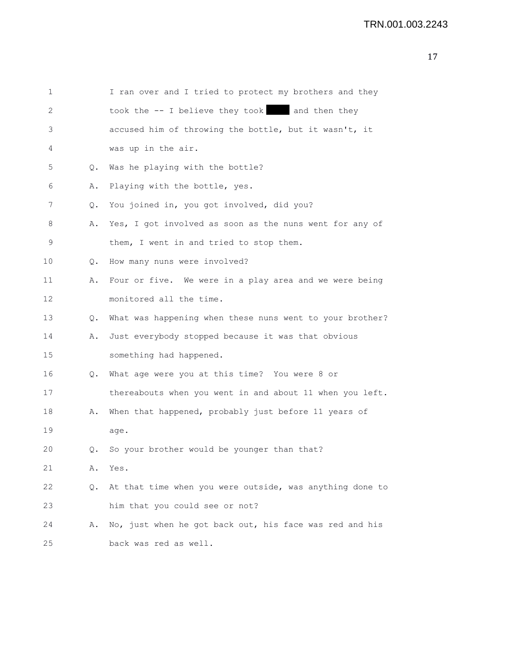| 1  |    | I ran over and I tried to protect my brothers and they   |
|----|----|----------------------------------------------------------|
| 2  |    | took the -- I believe they took and then they            |
| 3  |    | accused him of throwing the bottle, but it wasn't, it    |
| 4  |    | was up in the air.                                       |
| 5  | Q. | Was he playing with the bottle?                          |
| 6  | Α. | Playing with the bottle, yes.                            |
| 7  | Q. | You joined in, you got involved, did you?                |
| 8  | Α. | Yes, I got involved as soon as the nuns went for any of  |
| 9  |    | them, I went in and tried to stop them.                  |
| 10 | Q. | How many nuns were involved?                             |
| 11 | Α. | Four or five. We were in a play area and we were being   |
| 12 |    | monitored all the time.                                  |
| 13 | Q. | What was happening when these nuns went to your brother? |
| 14 | Α. | Just everybody stopped because it was that obvious       |
| 15 |    | something had happened.                                  |
| 16 | Q. | What age were you at this time? You were 8 or            |
| 17 |    | thereabouts when you went in and about 11 when you left. |
| 18 | Α. | When that happened, probably just before 11 years of     |
| 19 |    | age.                                                     |
| 20 | О. | So your brother would be younger than that?              |
| 21 | Α. | Yes.                                                     |
| 22 | Q. | At that time when you were outside, was anything done to |
| 23 |    | him that you could see or not?                           |
| 24 | Α. | No, just when he got back out, his face was red and his  |
| 25 |    | back was red as well.                                    |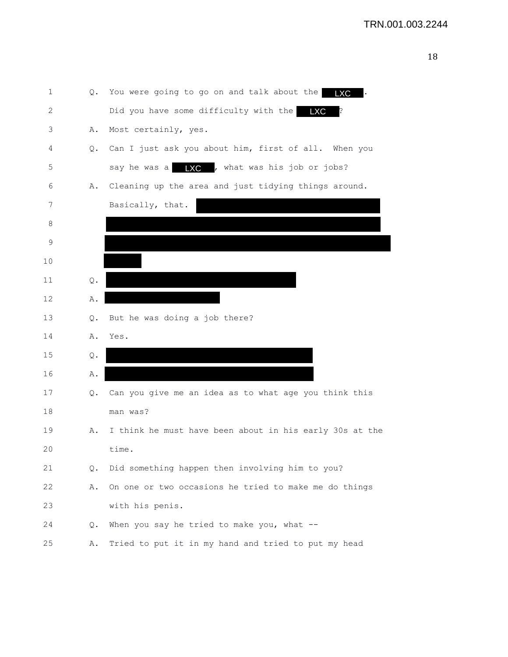| 1            | Q. | You were going to go on and talk about the              |
|--------------|----|---------------------------------------------------------|
| $\mathbf{2}$ |    | Did you have some difficulty with the<br><b>LXC</b>     |
| 3            | Α. | Most certainly, yes.                                    |
| 4            | Q. | Can I just ask you about him, first of all. When you    |
| 5            |    | say he was a $\Box$ , what was his job or jobs?         |
| 6            | Α. | Cleaning up the area and just tidying things around.    |
| 7            |    | Basically, that.                                        |
| 8            |    |                                                         |
| 9            |    |                                                         |
| 10           |    |                                                         |
| 11           | Q. |                                                         |
| 12           | Α. |                                                         |
| 13           | Q. | But he was doing a job there?                           |
| 14           | Α. | Yes.                                                    |
| 15           | Q. |                                                         |
| 16           | Α. |                                                         |
| 17           | Q. | Can you give me an idea as to what age you think this   |
| 18           |    | man was?                                                |
| 19           | Α. | I think he must have been about in his early 30s at the |
| 20           |    | time.                                                   |
| 21           | Q. | Did something happen then involving him to you?         |
| 22           | Α. | On one or two occasions he tried to make me do things   |
| 23           |    | with his penis.                                         |
| 24           | Q. | When you say he tried to make you, what $-$ -           |
| 25           | Α. | Tried to put it in my hand and tried to put my head     |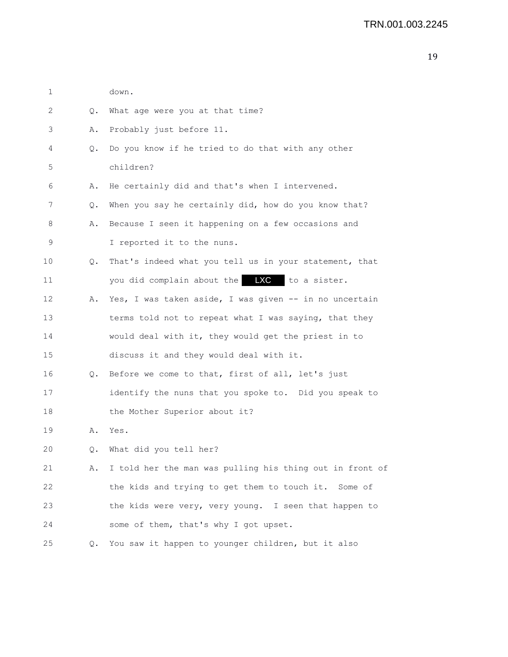| 1  |    | down.                                                    |
|----|----|----------------------------------------------------------|
| 2  | Q. | What age were you at that time?                          |
| 3  | Α. | Probably just before 11.                                 |
| 4  | Q. | Do you know if he tried to do that with any other        |
| 5  |    | children?                                                |
| 6  | Α. | He certainly did and that's when I intervened.           |
| 7  | Q. | When you say he certainly did, how do you know that?     |
| 8  | Α. | Because I seen it happening on a few occasions and       |
| 9  |    | I reported it to the nuns.                               |
| 10 | Q. | That's indeed what you tell us in your statement, that   |
| 11 |    | you did complain about the <b>LXC</b> to a sister.       |
| 12 | Α. | Yes, I was taken aside, I was given -- in no uncertain   |
| 13 |    | terms told not to repeat what I was saying, that they    |
| 14 |    | would deal with it, they would get the priest in to      |
| 15 |    | discuss it and they would deal with it.                  |
| 16 | Q. | Before we come to that, first of all, let's just         |
| 17 |    | identify the nuns that you spoke to. Did you speak to    |
| 18 |    | the Mother Superior about it?                            |
| 19 | Α. | Yes.                                                     |
| 20 | Q. | What did you tell her?                                   |
| 21 | Α. | I told her the man was pulling his thing out in front of |
| 22 |    | the kids and trying to get them to touch it. Some of     |
| 23 |    | the kids were very, very young. I seen that happen to    |
| 24 |    | some of them, that's why I got upset.                    |
| 25 | Q. | You saw it happen to younger children, but it also       |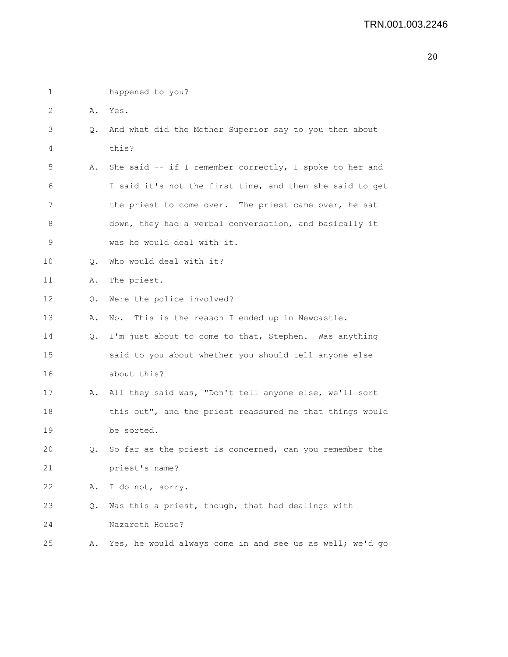| 1           |    | happened to you?                                         |
|-------------|----|----------------------------------------------------------|
| 2           | Α. | Yes.                                                     |
| 3           | Q. | And what did the Mother Superior say to you then about   |
| 4           |    | this?                                                    |
| 5           | Α. | She said -- if I remember correctly, I spoke to her and  |
| 6           |    | I said it's not the first time, and then she said to get |
| 7           |    | the priest to come over. The priest came over, he sat    |
| 8           |    | down, they had a verbal conversation, and basically it   |
| $\mathsf 9$ |    | was he would deal with it.                               |
| $10 \,$     | Q. | Who would deal with it?                                  |
| 11          | Α. | The priest.                                              |
| 12          | Q. | Were the police involved?                                |
| 13          | Α. | This is the reason I ended up in Newcastle.<br>No.       |
| 14          | Q. | I'm just about to come to that, Stephen. Was anything    |
| 15          |    | said to you about whether you should tell anyone else    |
| 16          |    | about this?                                              |
| 17          | Α. | All they said was, "Don't tell anyone else, we'll sort   |
| 18          |    | this out", and the priest reassured me that things would |
| 19          |    | be sorted.                                               |
| 20          | Q. | So far as the priest is concerned, can you remember the  |
| 21          |    | priest's name?                                           |
| 22          | Α. | I do not, sorry.                                         |
| 23          | Q. | Was this a priest, though, that had dealings with        |
| 24          |    | Nazareth House?                                          |
| 25          | Α. | Yes, he would always come in and see us as well; we'd go |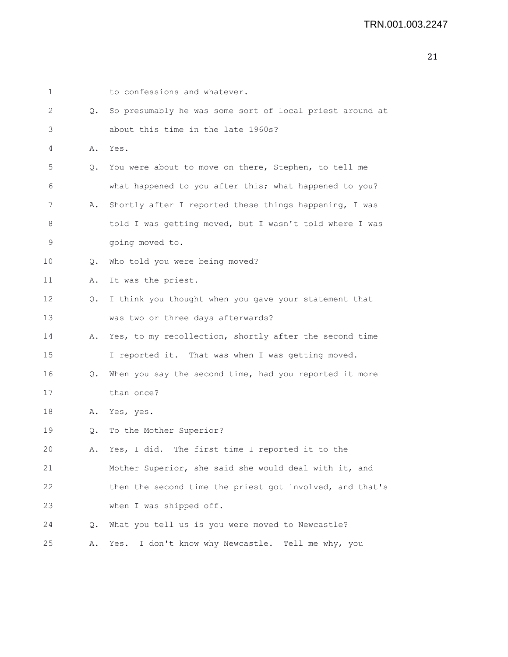| 1  |           | to confessions and whatever.                             |
|----|-----------|----------------------------------------------------------|
| 2  | $\circ$ . | So presumably he was some sort of local priest around at |
| 3  |           | about this time in the late 1960s?                       |
| 4  | Α.        | Yes.                                                     |
| 5  | Q.        | You were about to move on there, Stephen, to tell me     |
| 6  |           | what happened to you after this; what happened to you?   |
| 7  | Α.        | Shortly after I reported these things happening, I was   |
| 8  |           | told I was getting moved, but I wasn't told where I was  |
| 9  |           | going moved to.                                          |
| 10 | Q.        | Who told you were being moved?                           |
| 11 | Α.        | It was the priest.                                       |
| 12 | Q.        | I think you thought when you gave your statement that    |
| 13 |           | was two or three days afterwards?                        |
| 14 | Α.        | Yes, to my recollection, shortly after the second time   |
| 15 |           | I reported it. That was when I was getting moved.        |
| 16 | Q.        | When you say the second time, had you reported it more   |
| 17 |           | than once?                                               |
| 18 | Α.        | Yes, yes.                                                |
| 19 | Q.        | To the Mother Superior?                                  |
| 20 | Α.        | Yes, I did. The first time I reported it to the          |
| 21 |           | Mother Superior, she said she would deal with it, and    |
| 22 |           | then the second time the priest got involved, and that's |
| 23 |           | when I was shipped off.                                  |
| 24 | Q.        | What you tell us is you were moved to Newcastle?         |
| 25 | Α.        | I don't know why Newcastle.<br>Tell me why, you<br>Yes.  |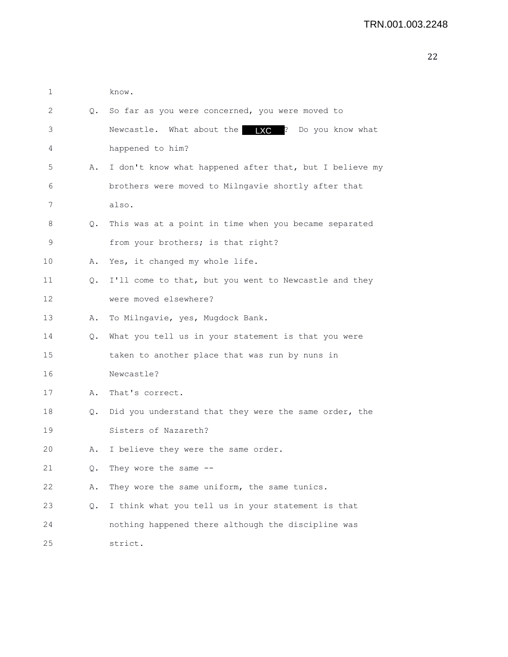| 1  |           | know.                                                   |
|----|-----------|---------------------------------------------------------|
| 2  |           | Q. So far as you were concerned, you were moved to      |
| 3  |           | Newcastle. What about the $\sqrt{C}$ ? Do you know what |
| 4  |           | happened to him?                                        |
| 5  | Α.        | I don't know what happened after that, but I believe my |
| 6  |           | brothers were moved to Milngavie shortly after that     |
| 7  |           | also.                                                   |
| 8  | Q.        | This was at a point in time when you became separated   |
| 9  |           | from your brothers; is that right?                      |
| 10 | Α.        | Yes, it changed my whole life.                          |
| 11 | Q.        | I'll come to that, but you went to Newcastle and they   |
| 12 |           | were moved elsewhere?                                   |
| 13 | Α.        | To Milngavie, yes, Mugdock Bank.                        |
| 14 | $\circ$ . | What you tell us in your statement is that you were     |
| 15 |           | taken to another place that was run by nuns in          |
| 16 |           | Newcastle?                                              |
| 17 | Α.        | That's correct.                                         |
| 18 | Q.        | Did you understand that they were the same order, the   |
| 19 |           | Sisters of Nazareth?                                    |
| 20 | Α.        | I believe they were the same order.                     |
| 21 | Q.        | They wore the same --                                   |
| 22 | Α.        | They wore the same uniform, the same tunics.            |
| 23 | Q.        | I think what you tell us in your statement is that      |
| 24 |           | nothing happened there although the discipline was      |
| 25 |           | strict.                                                 |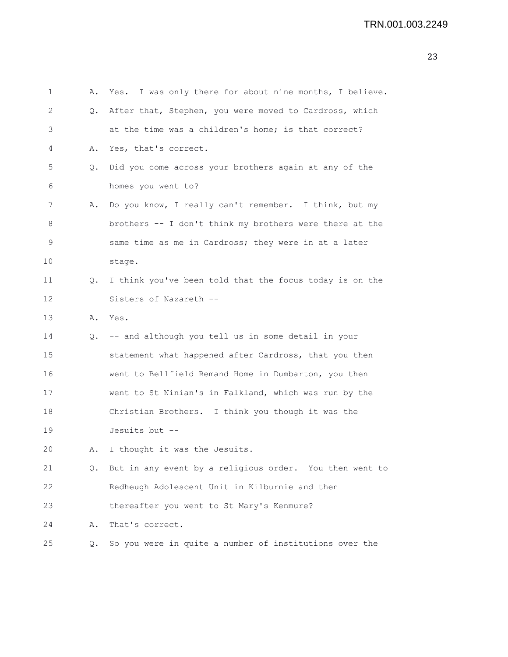| 1  | Α. | Yes. I was only there for about nine months, I believe.    |
|----|----|------------------------------------------------------------|
| 2  | Q. | After that, Stephen, you were moved to Cardross, which     |
| 3  |    | at the time was a children's home; is that correct?        |
| 4  | Α. | Yes, that's correct.                                       |
| 5  | Q. | Did you come across your brothers again at any of the      |
| 6  |    | homes you went to?                                         |
| 7  | Α. | Do you know, I really can't remember. I think, but my      |
| 8  |    | brothers -- I don't think my brothers were there at the    |
| 9  |    | same time as me in Cardross; they were in at a later       |
| 10 |    | stage.                                                     |
| 11 | Q. | I think you've been told that the focus today is on the    |
| 12 |    | Sisters of Nazareth --                                     |
| 13 |    | A. Yes.                                                    |
| 14 |    | Q. -- and although you tell us in some detail in your      |
| 15 |    | statement what happened after Cardross, that you then      |
| 16 |    | went to Bellfield Remand Home in Dumbarton, you then       |
| 17 |    | went to St Ninian's in Falkland, which was run by the      |
| 18 |    | Christian Brothers. I think you though it was the          |
| 19 |    | Jesuits but --                                             |
| 20 | Α. | I thought it was the Jesuits.                              |
| 21 |    | Q. But in any event by a religious order. You then went to |
| 22 |    | Redheugh Adolescent Unit in Kilburnie and then             |
| 23 |    | thereafter you went to St Mary's Kenmure?                  |
| 24 |    | A. That's correct.                                         |
|    |    |                                                            |

25 Q. So you were in quite a number of institutions over the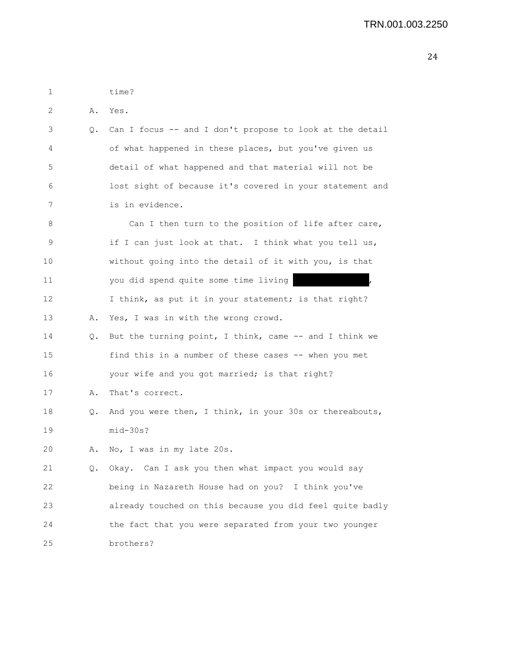| 1  |           | time?                                                    |
|----|-----------|----------------------------------------------------------|
| 2  | Α.        | Yes.                                                     |
| 3  | Q.        | Can I focus -- and I don't propose to look at the detail |
| 4  |           | of what happened in these places, but you've given us    |
| 5  |           | detail of what happened and that material will not be    |
| 6  |           | lost sight of because it's covered in your statement and |
| 7  |           | is in evidence.                                          |
| 8  |           | Can I then turn to the position of life after care,      |
| 9  |           | if I can just look at that. I think what you tell us,    |
| 10 |           | without going into the detail of it with you, is that    |
| 11 |           | you did spend quite some time living                     |
| 12 |           | I think, as put it in your statement; is that right?     |
| 13 | Α.        | Yes, I was in with the wrong crowd.                      |
| 14 | $\circ$ . | But the turning point, I think, came -- and I think we   |
| 15 |           | find this in a number of these cases -- when you met     |
| 16 |           | your wife and you got married; is that right?            |
| 17 | Α.        | That's correct.                                          |
| 18 | Q.        | And you were then, I think, in your 30s or thereabouts,  |
| 19 |           | $mid-30s$ ?                                              |
| 20 | Α.        | No, I was in my late 20s.                                |
| 21 |           | Q. Okay. Can I ask you then what impact you would say    |
| 22 |           | being in Nazareth House had on you? I think you've       |
| 23 |           | already touched on this because you did feel quite badly |
| 24 |           | the fact that you were separated from your two younger   |
| 25 |           | brothers?                                                |
|    |           |                                                          |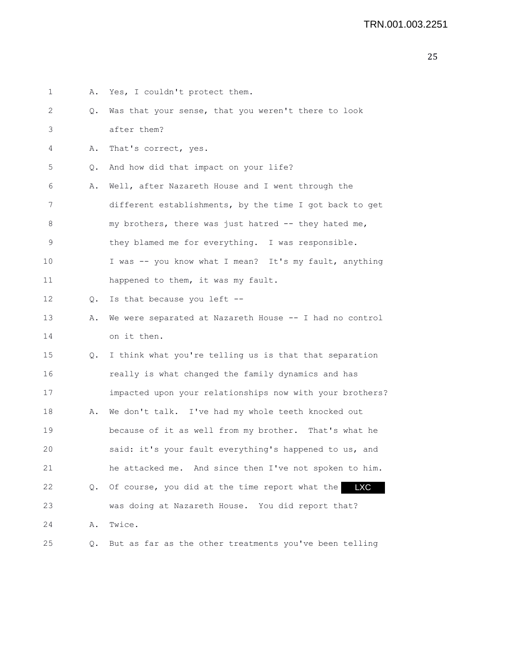| 1  | Α.        | Yes, I couldn't protect them.                                |
|----|-----------|--------------------------------------------------------------|
| 2  | Q.        | Was that your sense, that you weren't there to look          |
| 3  |           | after them?                                                  |
| 4  | Α.        | That's correct, yes.                                         |
| 5  | Q.        | And how did that impact on your life?                        |
| 6  | Α.        | Well, after Nazareth House and I went through the            |
| 7  |           | different establishments, by the time I got back to get      |
| 8  |           | my brothers, there was just hatred -- they hated me,         |
| 9  |           | they blamed me for everything. I was responsible.            |
| 10 |           | I was -- you know what I mean? It's my fault, anything       |
| 11 |           | happened to them, it was my fault.                           |
| 12 | Q.        | Is that because you left --                                  |
| 13 | Α.        | We were separated at Nazareth House -- I had no control      |
| 14 |           | on it then.                                                  |
| 15 | $\circ$ . | I think what you're telling us is that that separation       |
| 16 |           | really is what changed the family dynamics and has           |
| 17 |           | impacted upon your relationships now with your brothers?     |
| 18 | Α.        | We don't talk. I've had my whole teeth knocked out           |
| 19 |           | because of it as well from my brother. That's what he        |
| 20 |           | said: it's your fault everything's happened to us, and       |
| 21 |           | he attacked me. And since then I've not spoken to him.       |
| 22 | Q.        | Of course, you did at the time report what the<br><b>LXC</b> |
| 23 |           | was doing at Nazareth House. You did report that?            |
| 24 | Α.        | Twice.                                                       |
| 25 | Q.        | But as far as the other treatments you've been telling       |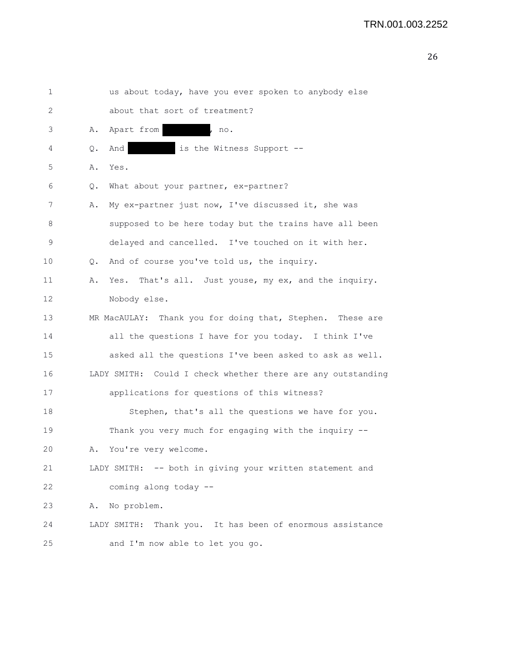| 1           |               | us about today, have you ever spoken to anybody else         |
|-------------|---------------|--------------------------------------------------------------|
| 2           |               | about that sort of treatment?                                |
| 3           | Α.            | Apart from<br>no.                                            |
| 4           | $Q_{\bullet}$ | And<br>is the Witness Support --                             |
| 5           |               | A. Yes.                                                      |
| 6           | Q.            | What about your partner, ex-partner?                         |
| 7           | Α.            | My ex-partner just now, I've discussed it, she was           |
| 8           |               | supposed to be here today but the trains have all been       |
| $\mathsf 9$ |               | delayed and cancelled. I've touched on it with her.          |
| 10          | $\circ$ .     | And of course you've told us, the inquiry.                   |
| 11          | Α.            | Yes. That's all. Just youse, my ex, and the inquiry.         |
| 12          |               | Nobody else.                                                 |
| 13          |               | MR MacAULAY: Thank you for doing that, Stephen. These are    |
| 14          |               | all the questions I have for you today. I think I've         |
| 15          |               | asked all the questions I've been asked to ask as well.      |
| 16          |               | LADY SMITH: Could I check whether there are any outstanding  |
| 17          |               | applications for questions of this witness?                  |
| 18          |               | Stephen, that's all the questions we have for you.           |
| 19          |               | Thank you very much for engaging with the inquiry --         |
| 20          |               | A. You're very welcome.                                      |
| 21          |               | LADY SMITH: -- both in giving your written statement and     |
| 22          |               | coming along today --                                        |
| 23          | Α.            | No problem.                                                  |
| 24          |               | Thank you. It has been of enormous assistance<br>LADY SMITH: |
| 25          |               | and I'm now able to let you go.                              |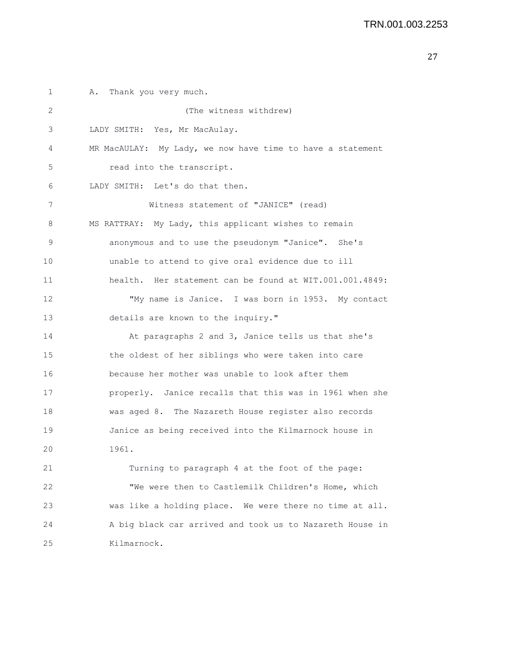1 A. Thank you very much. 2 (The witness withdrew) 3 LADY SMITH: Yes, Mr MacAulay. 4 MR MacAULAY: My Lady, we now have time to have a statement 5 read into the transcript. 6 LADY SMITH: Let's do that then. 7 Witness statement of "JANICE" (read) 8 MS RATTRAY: My Lady, this applicant wishes to remain 9 anonymous and to use the pseudonym "Janice". She's 10 unable to attend to give oral evidence due to ill 11 health. Her statement can be found at WIT.001.001.4849: 12 "My name is Janice. I was born in 1953. My contact 13 details are known to the inquiry." 14 At paragraphs 2 and 3, Janice tells us that she's 15 the oldest of her siblings who were taken into care 16 because her mother was unable to look after them 17 properly. Janice recalls that this was in 1961 when she 18 was aged 8. The Nazareth House register also records 19 Janice as being received into the Kilmarnock house in 20 1961. 21 Turning to paragraph 4 at the foot of the page: 22 "We were then to Castlemilk Children's Home, which 23 was like a holding place. We were there no time at all. 24 A big black car arrived and took us to Nazareth House in 25 Kilmarnock.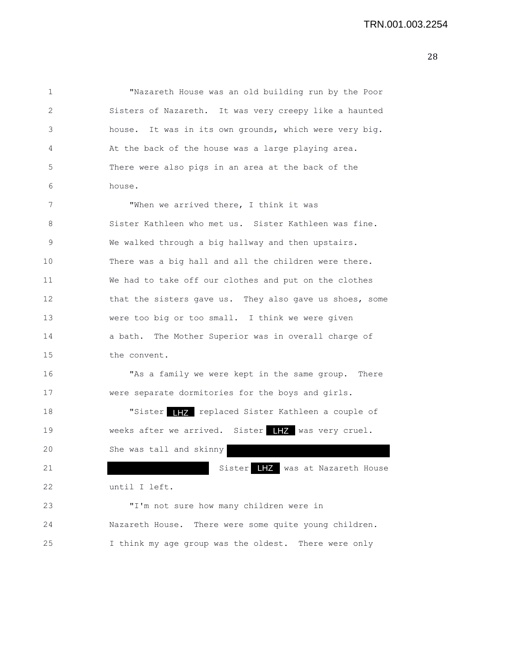| 1  | "Nazareth House was an old building run by the Poor     |
|----|---------------------------------------------------------|
| 2  | Sisters of Nazareth. It was very creepy like a haunted  |
| 3  | house. It was in its own grounds, which were very big.  |
| 4  | At the back of the house was a large playing area.      |
| 5  | There were also pigs in an area at the back of the      |
| 6  | house.                                                  |
| 7  | "When we arrived there, I think it was                  |
| 8  | Sister Kathleen who met us. Sister Kathleen was fine.   |
| 9  | We walked through a big hallway and then upstairs.      |
| 10 | There was a big hall and all the children were there.   |
| 11 | We had to take off our clothes and put on the clothes   |
| 12 | that the sisters gave us. They also gave us shoes, some |
| 13 | were too big or too small. I think we were given        |
| 14 | a bath. The Mother Superior was in overall charge of    |
| 15 | the convent.                                            |
| 16 | "As a family we were kept in the same group. There      |
| 17 | were separate dormitories for the boys and girls.       |
| 18 | "Sister THZ replaced Sister Kathleen a couple of        |
| 19 | weeks after we arrived. Sister HHZ was very cruel.      |
| 20 | She was tall and skinny                                 |
| 21 | Sister LHZ was at Nazareth House                        |
| 22 | until I left.                                           |
| 23 | "I'm not sure how many children were in                 |
| 24 | Nazareth House. There were some quite young children.   |
| 25 | I think my age group was the oldest. There were only    |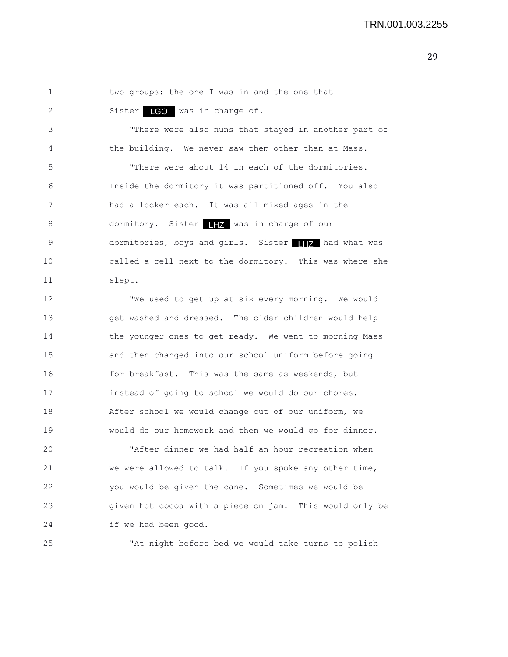1 two groups: the one I was in and the one that

2 Sister LGO was in charge of.

3 "There were also nuns that stayed in another part of 4 the building. We never saw them other than at Mass.

5 "There were about 14 in each of the dormitories. 6 Inside the dormitory it was partitioned off. You also 7 had a locker each. It was all mixed ages in the 8 dormitory. Sister **IHZ** was in charge of our 9 dormitories, boys and girls. Sister THZ had what was 10 called a cell next to the dormitory. This was where she 11 slept.

12 "We used to get up at six every morning. We would 13 get washed and dressed. The older children would help 14 the younger ones to get ready. We went to morning Mass 15 and then changed into our school uniform before going 16 for breakfast. This was the same as weekends, but 17 instead of going to school we would do our chores. 18 After school we would change out of our uniform, we 19 would do our homework and then we would go for dinner.

20 "After dinner we had half an hour recreation when 21 we were allowed to talk. If you spoke any other time, 22 you would be given the cane. Sometimes we would be 23 given hot cocoa with a piece on jam. This would only be 24 if we had been good.

25 "At night before bed we would take turns to polish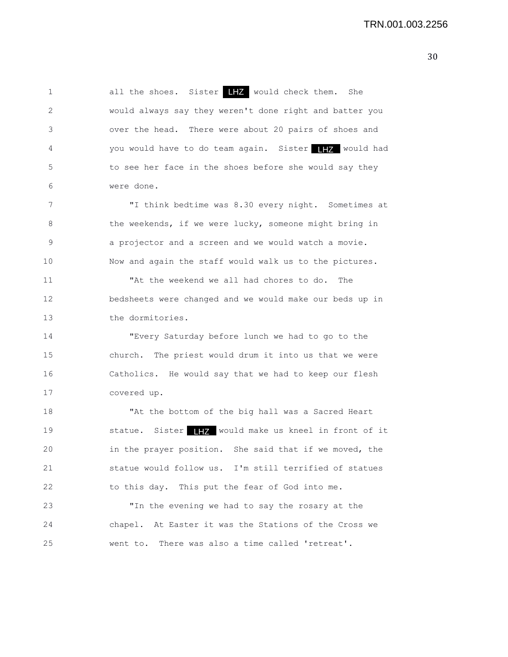1 all the shoes. Sister **H<sub>Z</sub>** would check them. She 2 would always say they weren't done right and batter you 3 over the head. There were about 20 pairs of shoes and 4 You would have to do team again. Sister 177 would had 5 to see her face in the shoes before she would say they 6 were done.

7 "I think bedtime was 8.30 every night. Sometimes at 8 the weekends, if we were lucky, someone might bring in 9 a projector and a screen and we would watch a movie. 10 Now and again the staff would walk us to the pictures.

11 "At the weekend we all had chores to do. The 12 bedsheets were changed and we would make our beds up in 13 the dormitories.

14 "Every Saturday before lunch we had to go to the 15 church. The priest would drum it into us that we were 16 Catholics. He would say that we had to keep our flesh 17 covered up.

18 "At the bottom of the big hall was a Sacred Heart 19 Statue. Sister 17 would make us kneel in front of it 20 in the prayer position. She said that if we moved, the 21 statue would follow us. I'm still terrified of statues 22 to this day. This put the fear of God into me.

23 "In the evening we had to say the rosary at the 24 chapel. At Easter it was the Stations of the Cross we 25 went to. There was also a time called 'retreat'.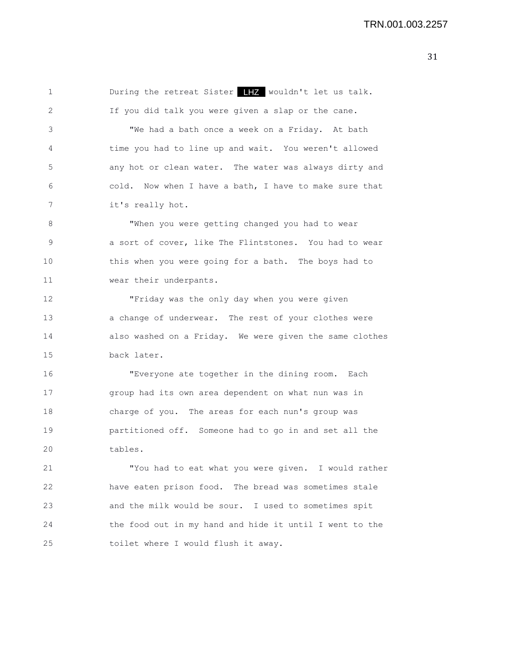| 1  |                                                         |
|----|---------------------------------------------------------|
| 2  | If you did talk you were given a slap or the cane.      |
| 3  | "We had a bath once a week on a Friday. At bath         |
| 4  | time you had to line up and wait. You weren't allowed   |
| 5  | any hot or clean water. The water was always dirty and  |
| 6  | cold. Now when I have a bath, I have to make sure that  |
| 7  | it's really hot.                                        |
| 8  | "When you were getting changed you had to wear          |
| 9  | a sort of cover, like The Flintstones. You had to wear  |
| 10 | this when you were going for a bath. The boys had to    |
| 11 | wear their underpants.                                  |
| 12 | "Friday was the only day when you were given            |
| 13 | a change of underwear. The rest of your clothes were    |
| 14 | also washed on a Friday. We were given the same clothes |
| 15 | back later.                                             |
| 16 | "Everyone ate together in the dining room. Each         |
| 17 | group had its own area dependent on what nun was in     |
| 18 | charge of you. The areas for each nun's group was       |
| 19 | partitioned off. Someone had to go in and set all the   |
| 20 | tables.                                                 |
| 21 | "You had to eat what you were given. I would rather     |
| 22 | have eaten prison food. The bread was sometimes stale   |
| 23 | and the milk would be sour. I used to sometimes spit    |
| 24 | the food out in my hand and hide it until I went to the |
| 25 | toilet where I would flush it away.                     |
|    |                                                         |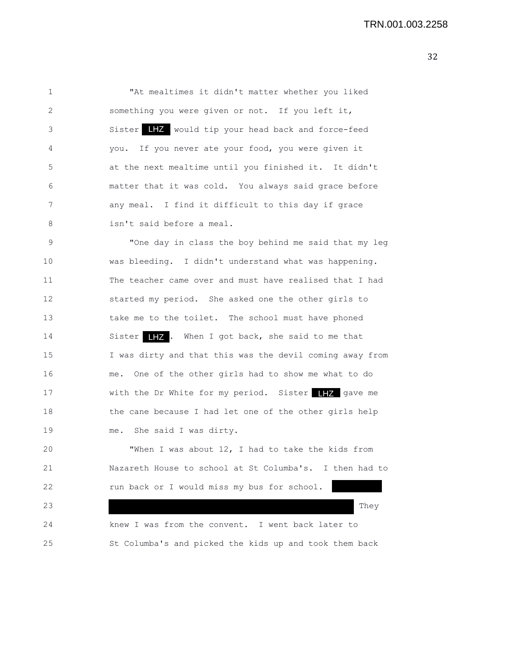1 "At mealtimes it didn't matter whether you liked 2 something you were given or not. If you left it, 3 Sister  $\begin{array}{|c|c|c|c|}\hline \textbf{I} & \textbf{Z} & \textbf{would tip your head back and force-free}\\ \hline \end{array}$ 4 you. If you never ate your food, you were given it 5 at the next mealtime until you finished it. It didn't 6 matter that it was cold. You always said grace before 7 any meal. I find it difficult to this day if grace 8 isn't said before a meal. 9 "One day in class the boy behind me said that my leg 10 was bleeding. I didn't understand what was happening. 11 The teacher came over and must have realised that I had 12 started my period. She asked one the other girls to 13 take me to the toilet. The school must have phoned 14 Sister **IIZ**. When I got back, she said to me that 15 I was dirty and that this was the devil coming away from 16 me. One of the other girls had to show me what to do 17 With the Dr White for my period. Sister 17 gave me 18 the cane because I had let one of the other girls help 19 me. She said I was dirty. 20 "When I was about 12, I had to take the kids from 21 Nazareth House to school at St Columba's. I then had to 22 run back or I would miss my bus for school. 23 They are the contract of the contract of the contract of the contract of the contract of the contract of the contract of the contract of the contract of the contract of the contract of the contract of the contract of th 24 knew I was from the convent. I went back later to 25 St Columba's and picked the kids up and took them back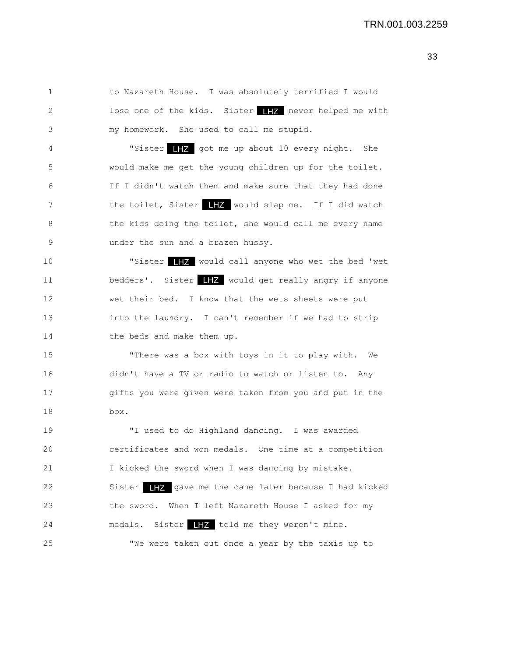1 to Nazareth House. I was absolutely terrified I would 2 lose one of the kids. Sister 17 never helped me with 3 my homework. She used to call me stupid. 4 "Sister 17 got me up about 10 every night. She 5 would make me get the young children up for the toilet. 6 If I didn't watch them and make sure that they had done 7 the toilet, Sister LEZ would slap me. If I did watch 8 the kids doing the toilet, she would call me every name 9 under the sun and a brazen hussy. 10 **"Sister IIZ** would call anyone who wet the bed 'wet 11 bedders'. Sister  $\blacksquare$  would get really angry if anyone 12 wet their bed. I know that the wets sheets were put 13 into the laundry. I can't remember if we had to strip 14 the beds and make them up. 15 "There was a box with toys in it to play with. We

16 didn't have a TV or radio to watch or listen to. Any 17 gifts you were given were taken from you and put in the 18 box.

19 "I used to do Highland dancing. I was awarded 20 certificates and won medals. One time at a competition 21 I kicked the sword when I was dancing by mistake. 22 Sister **IIZ** gave me the cane later because I had kicked 23 the sword. When I left Nazareth House I asked for my 24 medals. Sister **the summan state of the medals.** Sister **the set of the state of the state of the state of the state of the state of the state of the state of the state of the state of the state of the state of the stat** 25 "We were taken out once a year by the taxis up to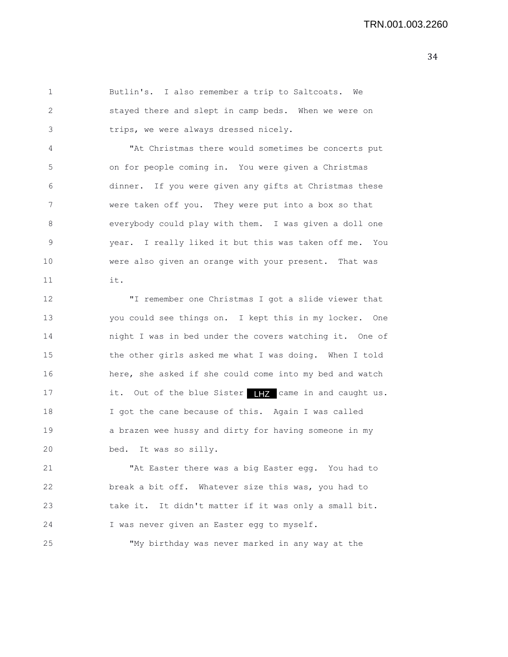1 Butlin's. I also remember a trip to Saltcoats. We 2 stayed there and slept in camp beds. When we were on 3 trips, we were always dressed nicely. 4 "At Christmas there would sometimes be concerts put 5 on for people coming in. You were given a Christmas 6 dinner. If you were given any gifts at Christmas these 7 were taken off you. They were put into a box so that 8 everybody could play with them. I was given a doll one 9 year. I really liked it but this was taken off me. You 10 were also given an orange with your present. That was 11 it. 12 "I remember one Christmas I got a slide viewer that 13 you could see things on. I kept this in my locker. One 14 night I was in bed under the covers watching it. One of 15 the other girls asked me what I was doing. When I told 16 here, she asked if she could come into my bed and watch 17 it. Out of the blue Sister 17 came in and caught us. 18 I got the cane because of this. Again I was called 19 a brazen wee hussy and dirty for having someone in my 20 bed. It was so silly.

21 "At Easter there was a big Easter egg. You had to 22 break a bit off. Whatever size this was, you had to 23 take it. It didn't matter if it was only a small bit. 24 I was never given an Easter egg to myself.

25 "My birthday was never marked in any way at the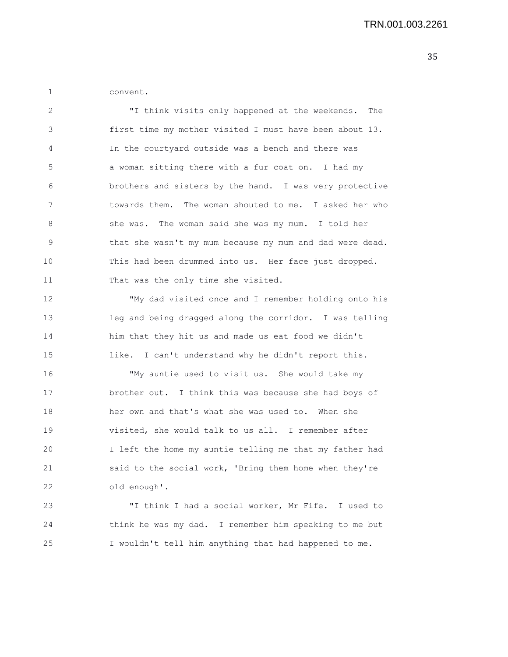1 convent.

| $\mathcal{L}$  | "I think visits only happened at the weekends. The       |
|----------------|----------------------------------------------------------|
| 3              | first time my mother visited I must have been about 13.  |
| $\overline{4}$ | In the courtyard outside was a bench and there was       |
| 5              | a woman sitting there with a fur coat on. I had my       |
| 6              | brothers and sisters by the hand. I was very protective  |
| 7              | towards them. The woman shouted to me. I asked her who   |
| 8              | she was. The woman said she was my mum. I told her       |
| <sup>9</sup>   | that she wasn't my mum because my mum and dad were dead. |
| 10             | This had been drummed into us. Her face just dropped.    |
| 11             | That was the only time she visited.                      |

12 "My dad visited once and I remember holding onto his 13 leg and being dragged along the corridor. I was telling 14 him that they hit us and made us eat food we didn't 15 like. I can't understand why he didn't report this.

16 "My auntie used to visit us. She would take my 17 brother out. I think this was because she had boys of 18 her own and that's what she was used to. When she 19 visited, she would talk to us all. I remember after 20 I left the home my auntie telling me that my father had 21 said to the social work, 'Bring them home when they're 22 old enough'.

23 "I think I had a social worker, Mr Fife. I used to 24 think he was my dad. I remember him speaking to me but 25 I wouldn't tell him anything that had happened to me.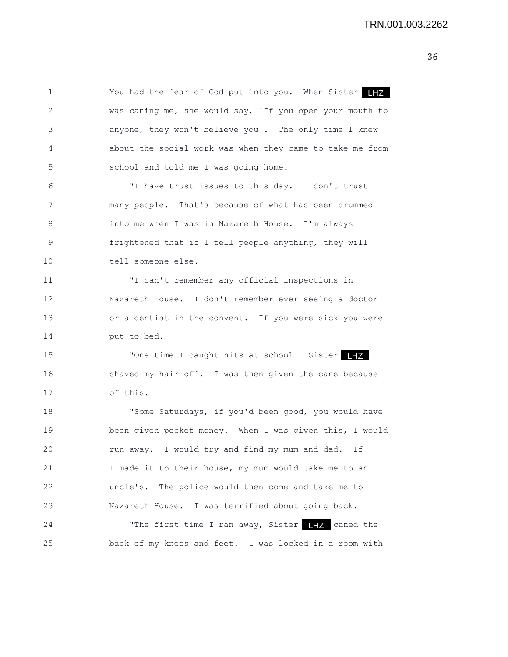1 You had the fear of God put into you. When Sister 2 was caning me, she would say, 'If you open your mouth to 3 anyone, they won't believe you'. The only time I knew 4 about the social work was when they came to take me from 5 school and told me I was going home. 6 "I have trust issues to this day. I don't trust 7 many people. That's because of what has been drummed 8 into me when I was in Nazareth House. I'm always 9 frightened that if I tell people anything, they will 10 tell someone else. 11 "I can't remember any official inspections in 12 Nazareth House. I don't remember ever seeing a doctor 13 or a dentist in the convent. If you were sick you were 14 put to bed. 15 The time I caught nits at school. Sister 16 shaved my hair off. I was then given the cane because 17 of this. 18 "Some Saturdays, if you'd been good, you would have 19 been given pocket money. When I was given this, I would 20 run away. I would try and find my mum and dad. If 21 I made it to their house, my mum would take me to an 22 uncle's. The police would then come and take me to 23 Nazareth House. I was terrified about going back. 24 The first time I ran away, Sister 17 caned the 25 back of my knees and feet. I was locked in a room with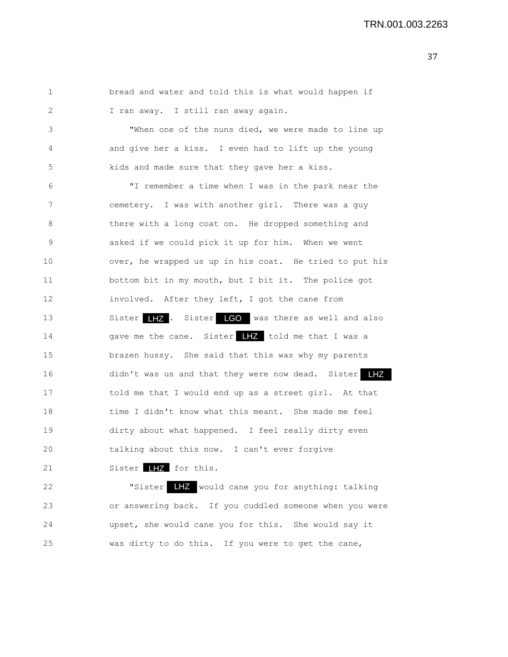```
1 bread and water and told this is what would happen if
2 I ran away. I still ran away again.
3 "When one of the nuns died, we were made to line up
4 and give her a kiss. I even had to lift up the young
5 kids and made sure that they gave her a kiss.
6 "I remember a time when I was in the park near the
7 cemetery. I was with another girl. There was a guy
8 there with a long coat on. He dropped something and
9 asked if we could pick it up for him. When we went
10 over, he wrapped us up in his coat. He tried to put his
11 bottom bit in my mouth, but I bit it. The police got
12 involved. After they left, I got the cane from
13 Sister LHZ. Sister LGO was there as well and also
14 gave me the cane. Sister LHZ told me that I was a
15 brazen hussy. She said that this was why my parents
16 didn't was us and that they were now dead. Sister
17 told me that I would end up as a street girl. At that
18 time I didn't know what this meant. She made me feel
19 dirty about what happened. I feel really dirty even
20 talking about this now. I can't ever forgive
21 Sister \blacksquare for this.
22 TSister LHZ would cane you for anything: talking
```
23 or answering back. If you cuddled someone when you were 24 upset, she would cane you for this. She would say it 25 was dirty to do this. If you were to get the cane,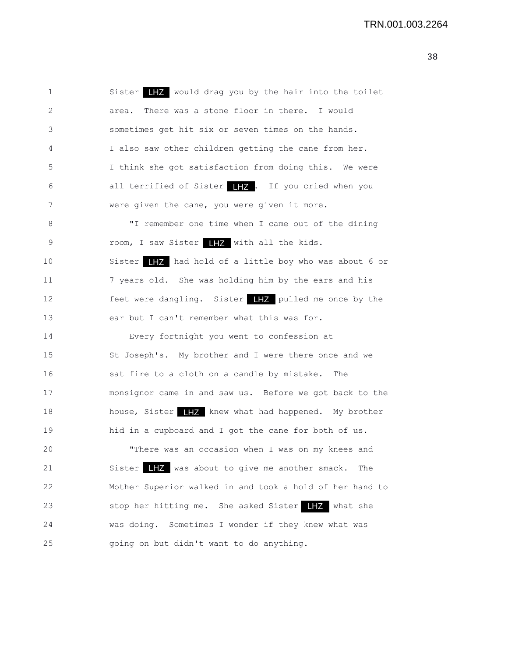1 Sister  $\begin{array}{|c|c|c|c|}\hline \textbf{I} & \textbf{z} & \textbf{z} & \textbf{z} \\ \hline \end{array}$  would drag you by the hair into the toilet 2 area. There was a stone floor in there. I would 3 sometimes get hit six or seven times on the hands. 4 I also saw other children getting the cane from her. 5 I think she got satisfaction from doing this. We were 6 all terrified of Sister **IIZ**. If you cried when you 7 were given the cane, you were given it more. 8 "I remember one time when I came out of the dining 9 room, I saw Sister **IFZ** with all the kids. 10 Sister  $\begin{array}{|c|c|c|c|c|}\hline \textbf{I} & \textbf{I} & \textbf{I} & \textbf{I} & \textbf{I} & \textbf{I} & \textbf{I} & \textbf{I} & \textbf{I} & \textbf{I} & \textbf{I} & \textbf{I} & \textbf{I} & \textbf{I} & \textbf{I} & \textbf{I} & \textbf{I} & \textbf{I} & \textbf{I} & \textbf{I} & \textbf{I} & \textbf{I} & \textbf{I} & \textbf{I} & \textbf{I} & \textbf{I} & \textbf{I} & \textbf$ 11 7 years old. She was holding him by the ears and his 12 feet were dangling. Sister **THZ** pulled me once by the 13 ear but I can't remember what this was for. 14 Every fortnight you went to confession at 15 St Joseph's. My brother and I were there once and we 16 sat fire to a cloth on a candle by mistake. The 17 monsignor came in and saw us. Before we got back to the 18 house, Sister  $\begin{array}{|c|c|c|c|}\hline & \text{if } & \text{if } & \text{if } & \text{if } & \text{if } & \text{if } & \text{if } & \text{if } & \text{if } & \text{if } & \text{if } & \text{if } & \text{if } & \text{if } & \text{if } & \text{if } & \text{if } & \text{if } & \text{if } & \text{if } & \text{if } & \text{if } & \text{if } & \text{if } & \text{if } & \text{if } & \text{if } & \text{if } & \text{if } & \text{if } & \text{if } &$ 19 hid in a cupboard and I got the cane for both of us. 20 "There was an occasion when I was on my knees and 21 Sister LHZ was about to give me another smack. The 22 Mother Superior walked in and took a hold of her hand to 23 Stop her hitting me. She asked Sister 17 what she 24 was doing. Sometimes I wonder if they knew what was 25 going on but didn't want to do anything.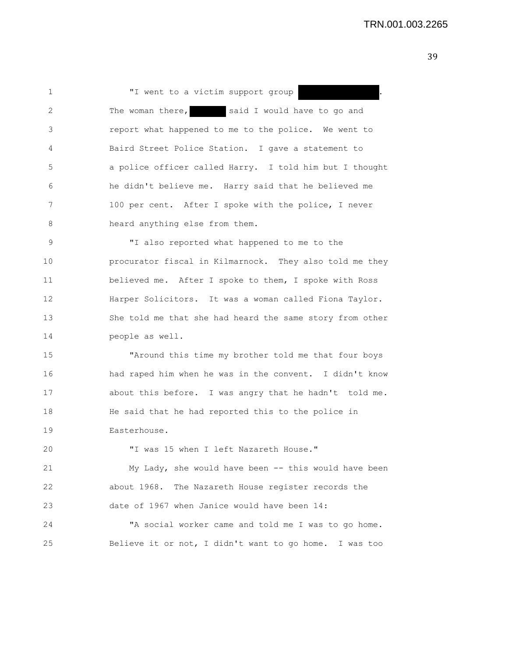1 T went to a victim support group 2 The woman there, said I would have to go and 3 report what happened to me to the police. We went to 4 Baird Street Police Station. I gave a statement to 5 a police officer called Harry. I told him but I thought 6 he didn't believe me. Harry said that he believed me 7 100 per cent. After I spoke with the police, I never 8 heard anything else from them.

9 "I also reported what happened to me to the 10 procurator fiscal in Kilmarnock. They also told me they 11 believed me. After I spoke to them, I spoke with Ross 12 Harper Solicitors. It was a woman called Fiona Taylor. 13 She told me that she had heard the same story from other 14 people as well.

15 "Around this time my brother told me that four boys 16 had raped him when he was in the convent. I didn't know 17 about this before. I was angry that he hadn't told me. 18 He said that he had reported this to the police in 19 Easterhouse.

20 "I was 15 when I left Nazareth House."

21 My Lady, she would have been -- this would have been 22 about 1968. The Nazareth House register records the 23 date of 1967 when Janice would have been 14:

24 "A social worker came and told me I was to go home. 25 Believe it or not, I didn't want to go home. I was too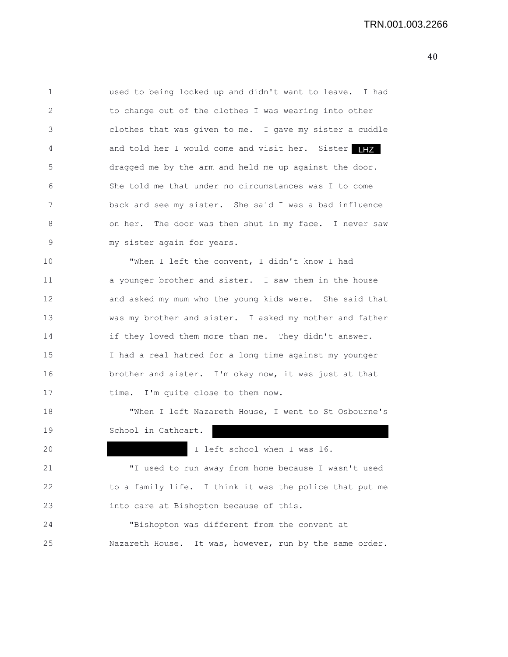| 1  | used to being locked up and didn't want to leave. I had |
|----|---------------------------------------------------------|
| 2  | to change out of the clothes I was wearing into other   |
| 3  | clothes that was given to me. I gave my sister a cuddle |
| 4  | and told her I would come and visit her. Sister<br>LHZ  |
| 5  | dragged me by the arm and held me up against the door.  |
| 6  | She told me that under no circumstances was I to come   |
| 7  | back and see my sister. She said I was a bad influence  |
| 8  | on her. The door was then shut in my face. I never saw  |
| 9  | my sister again for years.                              |
| 10 | "When I left the convent, I didn't know I had           |
| 11 | a younger brother and sister. I saw them in the house   |
| 12 | and asked my mum who the young kids were. She said that |
| 13 | was my brother and sister. I asked my mother and father |
| 14 | if they loved them more than me. They didn't answer.    |
| 15 | I had a real hatred for a long time against my younger  |
| 16 | brother and sister. I'm okay now, it was just at that   |
| 17 | time. I'm quite close to them now.                      |
| 18 | "When I left Nazareth House, I went to St Osbourne's    |
| 19 | School in Cathcart.                                     |
| 20 | I left school when I was 16.                            |
| 21 | "I used to run away from home because I wasn't used     |
| 22 | to a family life. I think it was the police that put me |
| 23 | into care at Bishopton because of this.                 |
| 24 | "Bishopton was different from the convent at            |
| 25 | Nazareth House. It was, however, run by the same order. |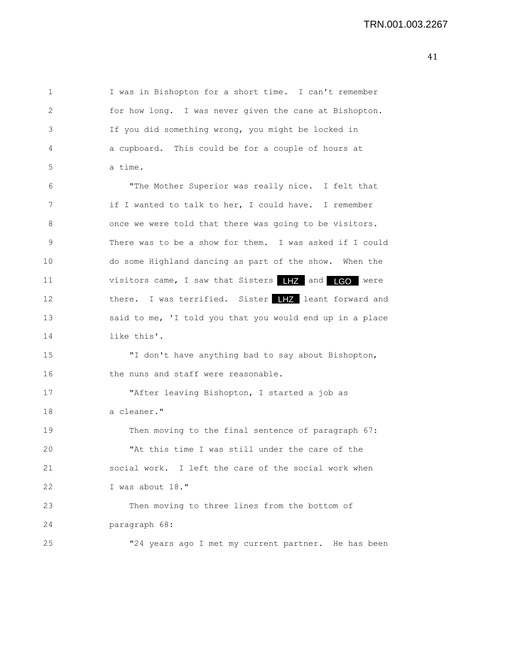1 I was in Bishopton for a short time. I can't remember 2 for how long. I was never given the cane at Bishopton. 3 If you did something wrong, you might be locked in 4 a cupboard. This could be for a couple of hours at 5 a time. 6 "The Mother Superior was really nice. I felt that 7 if I wanted to talk to her, I could have. I remember 8 once we were told that there was going to be visitors. 9 There was to be a show for them. I was asked if I could 10 do some Highland dancing as part of the show. When the 11 visitors came, I saw that Sisters LHZ and LGO were 12 there. I was terrified. Sister **LHZ** leant forward and 13 said to me, 'I told you that you would end up in a place 14 like this'. 15 "I don't have anything bad to say about Bishopton, 16 the nuns and staff were reasonable. 17 "After leaving Bishopton, I started a job as 18 a cleaner." 19 Then moving to the final sentence of paragraph 67: 20 "At this time I was still under the care of the 21 social work. I left the care of the social work when 22 I was about 18." 23 Then moving to three lines from the bottom of 24 paragraph 68: 25 "24 years ago I met my current partner. He has been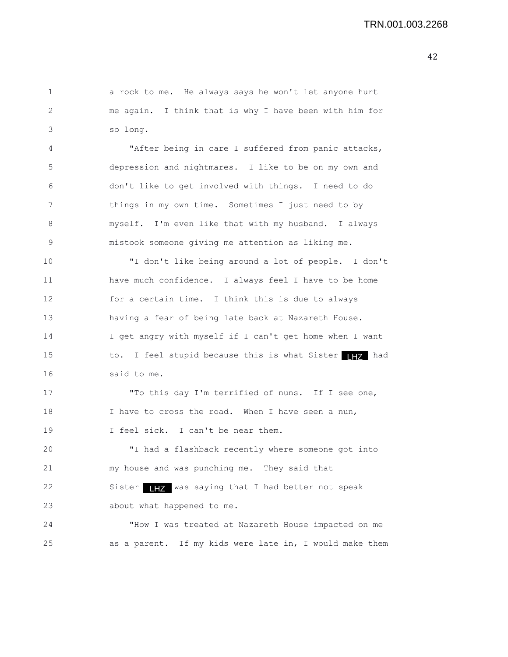2 me again. I think that is why I have been with him for 3 so long. 4 "After being in care I suffered from panic attacks, 5 depression and nightmares. I like to be on my own and 6 don't like to get involved with things. I need to do 7 things in my own time. Sometimes I just need to by 8 myself. I'm even like that with my husband. I always 9 mistook someone giving me attention as liking me. 10 "I don't like being around a lot of people. I don't 11 have much confidence. I always feel I have to be home 12 for a certain time. I think this is due to always 13 having a fear of being late back at Nazareth House. 14 I get angry with myself if I can't get home when I want 15 to. I feel stupid because this is what Sister 177 had 16 said to me. 17 "To this day I'm terrified of nuns. If I see one, 18 I have to cross the road. When I have seen a nun, 19 I feel sick. I can't be near them. 20 "I had a flashback recently where someone got into 21 my house and was punching me. They said that 22 Sister **HZ** was saying that I had better not speak 23 about what happened to me. 24 "How I was treated at Nazareth House impacted on me 25 as a parent. If my kids were late in, I would make them

1 a rock to me. He always says he won't let anyone hurt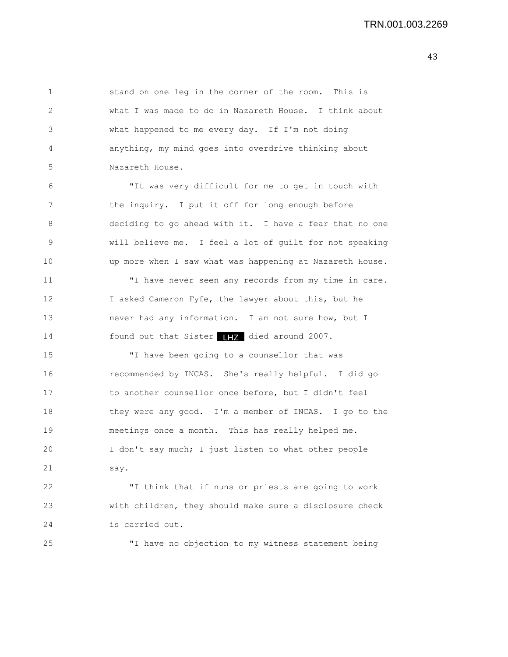1 stand on one leg in the corner of the room. This is 2 what I was made to do in Nazareth House. I think about 3 what happened to me every day. If I'm not doing 4 anything, my mind goes into overdrive thinking about 5 Nazareth House. 6 "It was very difficult for me to get in touch with 7 the inquiry. I put it off for long enough before 8 deciding to go ahead with it. I have a fear that no one 9 will believe me. I feel a lot of guilt for not speaking 10 up more when I saw what was happening at Nazareth House. 11 "I have never seen any records from my time in care. 12 I asked Cameron Fyfe, the lawyer about this, but he 13 never had any information. I am not sure how, but I 14 found out that Sister **HZ** died around 2007. 15 "I have been going to a counsellor that was 16 recommended by INCAS. She's really helpful. I did go 17 to another counsellor once before, but I didn't feel 18 they were any good. I'm a member of INCAS. I go to the 19 meetings once a month. This has really helped me. 20 I don't say much; I just listen to what other people 21 say. 22 "I think that if nuns or priests are going to work 23 with children, they should make sure a disclosure check 24 is carried out.

25 "I have no objection to my witness statement being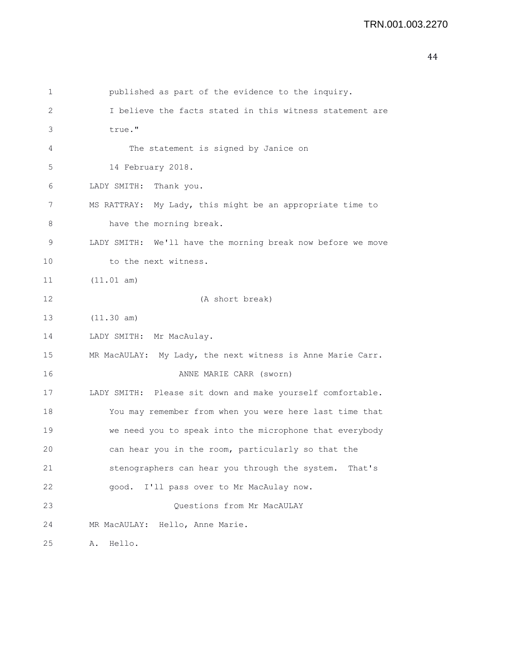| 1  | published as part of the evidence to the inquiry.           |
|----|-------------------------------------------------------------|
| 2  | I believe the facts stated in this witness statement are    |
| 3  | true."                                                      |
| 4  | The statement is signed by Janice on                        |
| 5  | 14 February 2018.                                           |
| 6  | LADY SMITH:<br>Thank you.                                   |
| 7  | MS RATTRAY: My Lady, this might be an appropriate time to   |
| 8  | have the morning break.                                     |
| 9  | LADY SMITH: We'll have the morning break now before we move |
| 10 | to the next witness.                                        |
| 11 | (11.01 am)                                                  |
| 12 | (A short break)                                             |
| 13 | (11.30 am)                                                  |
| 14 | LADY SMITH: Mr MacAulay.                                    |
| 15 | MR MacAULAY: My Lady, the next witness is Anne Marie Carr.  |
| 16 | ANNE MARIE CARR (sworn)                                     |
| 17 | LADY SMITH: Please sit down and make yourself comfortable.  |
| 18 | You may remember from when you were here last time that     |
| 19 | we need you to speak into the microphone that everybody     |
| 20 | can hear you in the room, particularly so that the          |
| 21 | stenographers can hear you through the system.<br>That's    |
| 22 | I'll pass over to Mr MacAulay now.<br>qood.                 |
| 23 | Questions from Mr MacAULAY                                  |
| 24 | MR MacAULAY: Hello, Anne Marie.                             |
| 25 | Hello.<br>Α.                                                |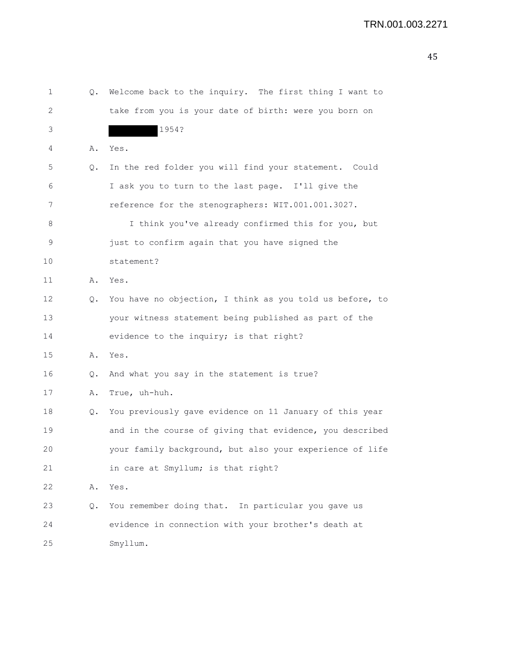| 1  | Q.            | Welcome back to the inquiry. The first thing I want to   |
|----|---------------|----------------------------------------------------------|
| 2  |               | take from you is your date of birth: were you born on    |
| 3  |               | 1954?                                                    |
| 4  | Α.            | Yes.                                                     |
| 5  | Q.            | In the red folder you will find your statement. Could    |
| 6  |               | I ask you to turn to the last page. I'll give the        |
| 7  |               | reference for the stenographers: WIT.001.001.3027.       |
| 8  |               | I think you've already confirmed this for you, but       |
| 9  |               | just to confirm again that you have signed the           |
| 10 |               | statement?                                               |
| 11 | Α.            | Yes.                                                     |
| 12 | Q.            | You have no objection, I think as you told us before, to |
| 13 |               | your witness statement being published as part of the    |
| 14 |               | evidence to the inquiry; is that right?                  |
| 15 | Α.            | Yes.                                                     |
| 16 | $\circ$ .     | And what you say in the statement is true?               |
| 17 | Α.            | True, uh-huh.                                            |
| 18 | Q.            | You previously gave evidence on 11 January of this year  |
| 19 |               | and in the course of giving that evidence, you described |
| 20 |               | your family background, but also your experience of life |
| 21 |               | in care at Smyllum; is that right?                       |
| 22 | Α.            | Yes.                                                     |
| 23 | $Q_{\bullet}$ | You remember doing that. In particular you gave us       |
| 24 |               | evidence in connection with your brother's death at      |
| 25 |               | Smyllum.                                                 |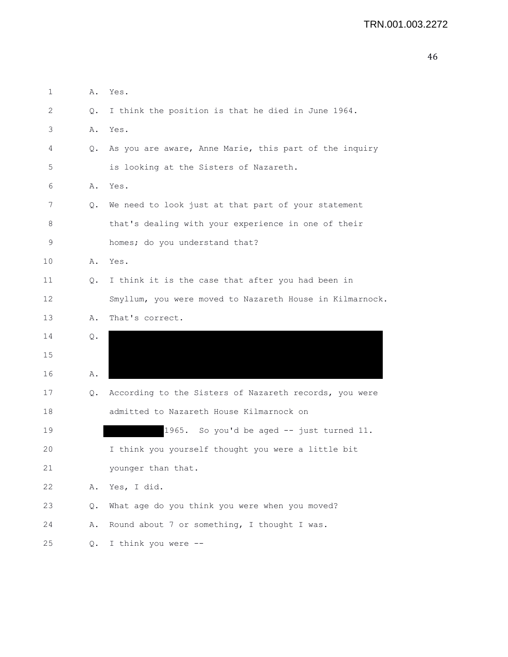```
1 A. Yes.
2 Q. I think the position is that he died in June 1964.
3 A. Yes.
4 Q. As you are aware, Anne Marie, this part of the inquiry
5 is looking at the Sisters of Nazareth.
6 A. Yes.
7 Q. We need to look just at that part of your statement
8 that's dealing with your experience in one of their
9 homes; do you understand that?
10 A. Yes.
11 Q. I think it is the case that after you had been in
12 Smyllum, you were moved to Nazareth House in Kilmarnock.
13 A. That's correct.
14 Q. 
15 
16 A. 
17 Q. According to the Sisters of Nazareth records, you were
18 admitted to Nazareth House Kilmarnock on
19 1965. So you'd be aged -- just turned 11.
20 I think you yourself thought you were a little bit
21 younger than that.
22 A. Yes, I did.
23 Q. What age do you think you were when you moved?
24 A. Round about 7 or something, I thought I was.
25 Q. I think you were --
```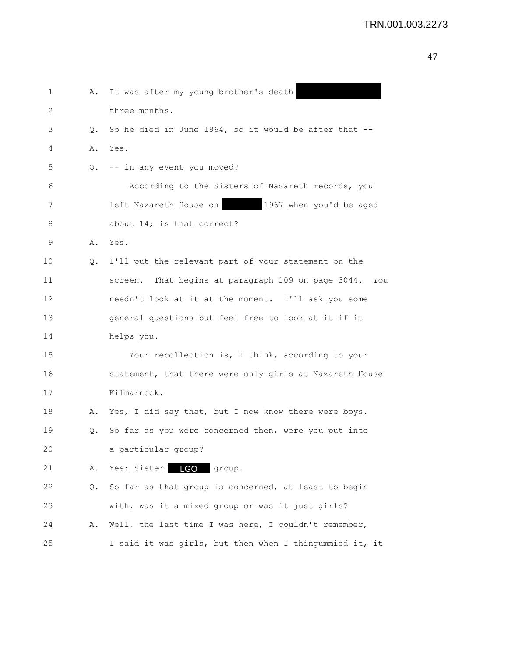| 1  | Α.        | It was after my young brother's death                   |
|----|-----------|---------------------------------------------------------|
| 2  |           | three months.                                           |
| 3  | $\circ$ . | So he died in June 1964, so it would be after that --   |
| 4  |           | A. Yes.                                                 |
| 5  |           | Q. -- in any event you moved?                           |
| 6  |           | According to the Sisters of Nazareth records, you       |
| 7  |           | 1967 when you'd be aged<br>left Nazareth House on       |
| 8  |           | about 14; is that correct?                              |
| 9  |           | A. Yes.                                                 |
| 10 |           | Q. I'll put the relevant part of your statement on the  |
| 11 |           | screen. That begins at paragraph 109 on page 3044. You  |
| 12 |           | needn't look at it at the moment. I'll ask you some     |
| 13 |           | general questions but feel free to look at it if it     |
| 14 |           | helps you.                                              |
| 15 |           | Your recollection is, I think, according to your        |
| 16 |           | statement, that there were only girls at Nazareth House |
| 17 |           | Kilmarnock.                                             |
| 18 |           | A. Yes, I did say that, but I now know there were boys. |
| 19 | Q.        | So far as you were concerned then, were you put into    |
| 20 |           | a particular group?                                     |
| 21 | Α.        | <b>LGO</b><br>Yes: Sister<br>group.                     |
| 22 | Q.        | So far as that group is concerned, at least to begin    |
| 23 |           | with, was it a mixed group or was it just girls?        |
| 24 | Α.        | Well, the last time I was here, I couldn't remember,    |
| 25 |           | I said it was girls, but then when I thingummied it, it |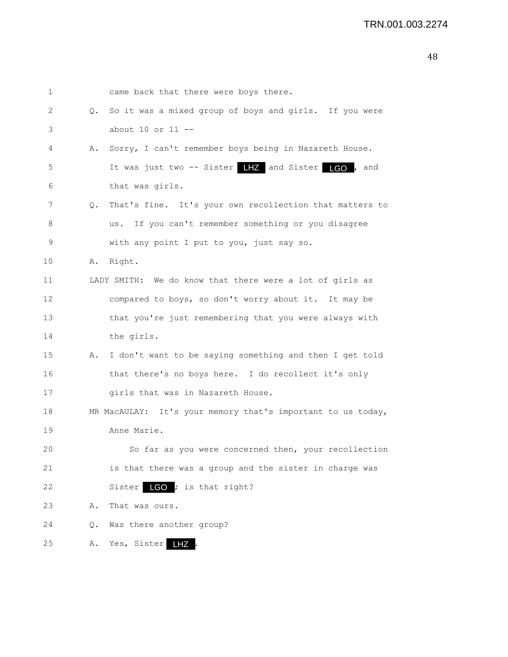| 1  |           | came back that there were boys there.                       |
|----|-----------|-------------------------------------------------------------|
| 2  | $\circ$ . | So it was a mixed group of boys and girls. If you were      |
| 3  |           | about $10$ or $11$ --                                       |
| 4  | Α.        | Sorry, I can't remember boys being in Nazareth House.       |
| 5  |           | It was just two -- Sister 17 and Sister 160, and            |
| 6  |           | that was girls.                                             |
| 7  | Q.        | That's fine. It's your own recollection that matters to     |
| 8  |           | If you can't remember something or you disagree<br>us.      |
| 9  |           | with any point I put to you, just say so.                   |
| 10 | Α.        | Right.                                                      |
| 11 |           | LADY SMITH: We do know that there were a lot of girls as    |
| 12 |           | compared to boys, so don't worry about it. It may be        |
| 13 |           | that you're just remembering that you were always with      |
| 14 |           | the girls.                                                  |
| 15 | Α.        | I don't want to be saying something and then I get told     |
| 16 |           | that there's no boys here. I do recollect it's only         |
| 17 |           | girls that was in Nazareth House.                           |
| 18 |           | MR MacAULAY: It's your memory that's important to us today, |
| 19 |           | Anne Marie.                                                 |
| 20 |           | So far as you were concerned then, your recollection        |
| 21 |           | is that there was a group and the sister in charge was      |
| 22 |           | Sister $\Box$ CO ; is that right?                           |
| 23 | Α.        | That was ours.                                              |
| 24 | Q.        | Was there another group?                                    |
| 25 | Α.        | Yes, Sister<br>LHZ                                          |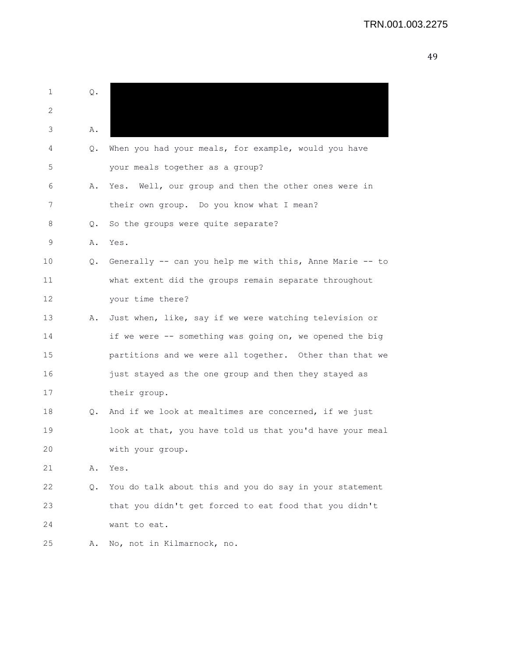## TRN.001.003.2275

| 1  | Q.        |                                                             |
|----|-----------|-------------------------------------------------------------|
| 2  |           |                                                             |
| 3  | Α.        |                                                             |
| 4  | Q.        | When you had your meals, for example, would you have        |
| 5  |           | your meals together as a group?                             |
| 6  | Α.        | Yes. Well, our group and then the other ones were in        |
| 7  |           | their own group. Do you know what I mean?                   |
| 8  | Q.        | So the groups were quite separate?                          |
| 9  | Α.        | Yes.                                                        |
| 10 |           | Q. Generally -- can you help me with this, Anne Marie -- to |
| 11 |           | what extent did the groups remain separate throughout       |
| 12 |           | your time there?                                            |
| 13 | Α.        | Just when, like, say if we were watching television or      |
| 14 |           | if we were -- something was going on, we opened the big     |
| 15 |           | partitions and we were all together. Other than that we     |
| 16 |           | just stayed as the one group and then they stayed as        |
| 17 |           | their group.                                                |
| 18 | $\circ$ . | And if we look at mealtimes are concerned, if we just       |
| 19 |           | look at that, you have told us that you'd have your meal    |
| 20 |           | with your group.                                            |
| 21 | Α.        | Yes.                                                        |
| 22 | Q.        | You do talk about this and you do say in your statement     |
| 23 |           | that you didn't get forced to eat food that you didn't      |
| 24 |           | want to eat.                                                |
| 25 | Α.        | No, not in Kilmarnock, no.                                  |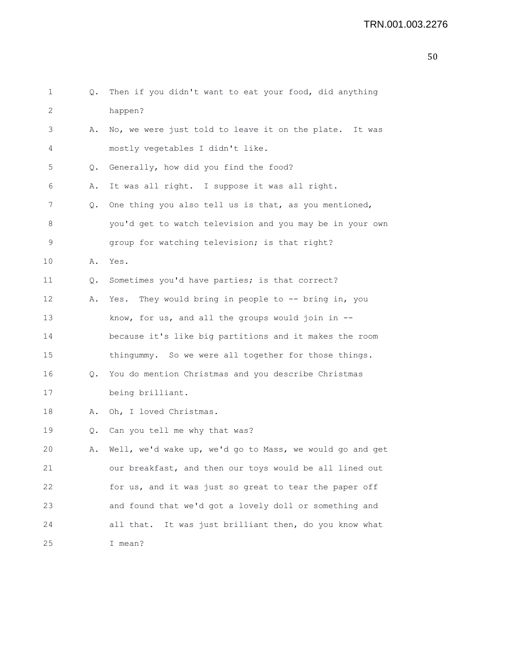| 1  | Q. | Then if you didn't want to eat your food, did anything    |
|----|----|-----------------------------------------------------------|
| 2  |    | happen?                                                   |
| 3  | Α. | No, we were just told to leave it on the plate. It was    |
| 4  |    | mostly vegetables I didn't like.                          |
| 5  | Q. | Generally, how did you find the food?                     |
| 6  | Α. | It was all right. I suppose it was all right.             |
| 7  | Q. | One thing you also tell us is that, as you mentioned,     |
| 8  |    | you'd get to watch television and you may be in your own  |
| 9  |    | group for watching television; is that right?             |
| 10 | Α. | Yes.                                                      |
| 11 | Q. | Sometimes you'd have parties; is that correct?            |
| 12 | Α. | Yes. They would bring in people to -- bring in, you       |
| 13 |    | know, for us, and all the groups would join in $--$       |
| 14 |    | because it's like big partitions and it makes the room    |
| 15 |    | thingummy. So we were all together for those things.      |
| 16 | Q. | You do mention Christmas and you describe Christmas       |
| 17 |    | being brilliant.                                          |
| 18 | Α. | Oh, I loved Christmas.                                    |
| 19 | Q. | Can you tell me why that was?                             |
| 20 | Α. | Well, we'd wake up, we'd go to Mass, we would go and get  |
| 21 |    | our breakfast, and then our toys would be all lined out   |
| 22 |    | for us, and it was just so great to tear the paper off    |
| 23 |    | and found that we'd got a lovely doll or something and    |
| 24 |    | It was just brilliant then, do you know what<br>all that. |
| 25 |    | I mean?                                                   |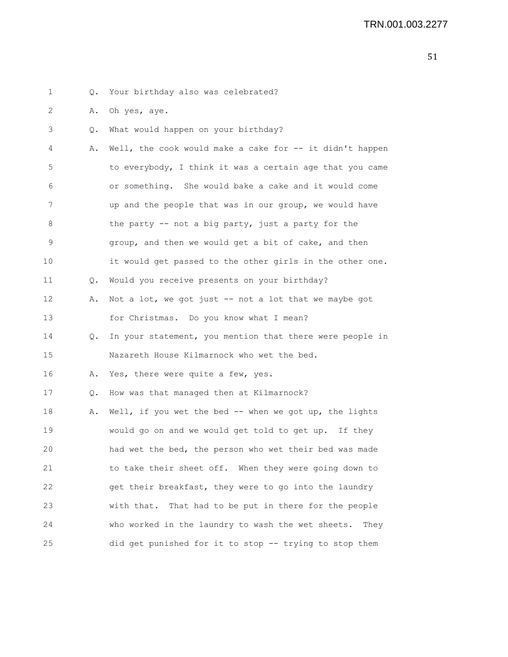1 Q. Your birthday also was celebrated? 2 A. Oh yes, aye. 3 Q. What would happen on your birthday? 4 A. Well, the cook would make a cake for -- it didn't happen 5 to everybody, I think it was a certain age that you came 6 or something. She would bake a cake and it would come 7 up and the people that was in our group, we would have 8 the party -- not a big party, just a party for the 9 group, and then we would get a bit of cake, and then 10 it would get passed to the other girls in the other one. 11 Q. Would you receive presents on your birthday? 12 A. Not a lot, we got just -- not a lot that we maybe got 13 for Christmas. Do you know what I mean? 14 Q. In your statement, you mention that there were people in 15 Nazareth House Kilmarnock who wet the bed. 16 A. Yes, there were quite a few, yes. 17 Q. How was that managed then at Kilmarnock? 18 A. Well, if you wet the bed -- when we got up, the lights 19 would go on and we would get told to get up. If they 20 had wet the bed, the person who wet their bed was made 21 to take their sheet off. When they were going down to 22 get their breakfast, they were to go into the laundry 23 with that. That had to be put in there for the people 24 who worked in the laundry to wash the wet sheets. They 25 did get punished for it to stop -- trying to stop them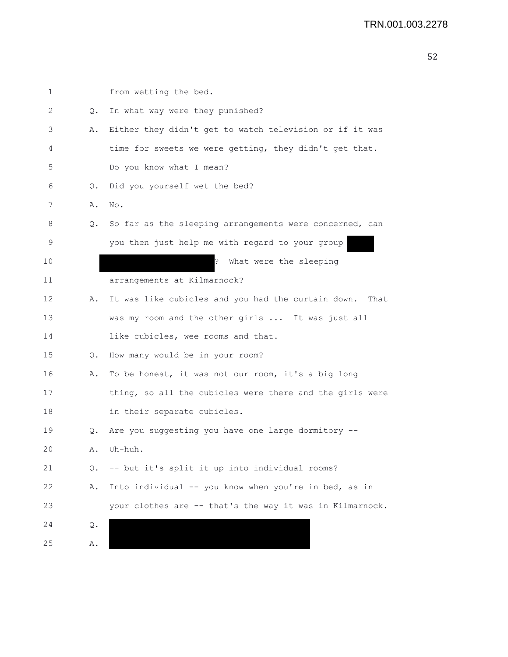| 1  |           | from wetting the bed.                                      |
|----|-----------|------------------------------------------------------------|
| 2  | Q.        | In what way were they punished?                            |
| 3  | Α.        | Either they didn't get to watch television or if it was    |
| 4  |           | time for sweets we were getting, they didn't get that.     |
| 5  |           | Do you know what I mean?                                   |
| 6  | $\circ$ . | Did you yourself wet the bed?                              |
| 7  | Α.        | No.                                                        |
| 8  | Q.        | So far as the sleeping arrangements were concerned, can    |
| 9  |           | you then just help me with regard to your group            |
| 10 |           | $\cdot$<br>What were the sleeping                          |
| 11 |           | arrangements at Kilmarnock?                                |
| 12 | Α.        | It was like cubicles and you had the curtain down.<br>That |
| 13 |           | was my room and the other girls  It was just all           |
| 14 |           | like cubicles, wee rooms and that.                         |
| 15 | $\circ$ . | How many would be in your room?                            |
| 16 | Α.        | To be honest, it was not our room, it's a big long         |
| 17 |           | thing, so all the cubicles were there and the girls were   |
| 18 |           | in their separate cubicles.                                |
| 19 | Q.        | Are you suggesting you have one large dormitory --         |
| 20 | Α.        | Uh-huh.                                                    |
| 21 | Q.        | -- but it's split it up into individual rooms?             |
| 22 | Α.        | Into individual -- you know when you're in bed, as in      |
| 23 |           | your clothes are -- that's the way it was in Kilmarnock.   |
| 24 | Q.        |                                                            |
| 25 | Α.        |                                                            |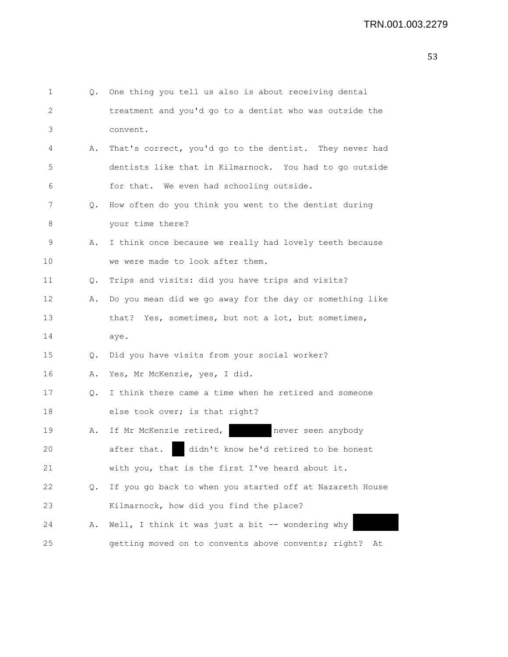| 1  | 0. | One thing you tell us also is about receiving dental      |
|----|----|-----------------------------------------------------------|
| 2  |    | treatment and you'd go to a dentist who was outside the   |
| 3  |    | convent.                                                  |
| 4  | Α. | That's correct, you'd go to the dentist. They never had   |
| 5  |    | dentists like that in Kilmarnock. You had to go outside   |
| 6  |    | for that. We even had schooling outside.                  |
| 7  | Q. | How often do you think you went to the dentist during     |
| 8  |    | your time there?                                          |
| 9  | Α. | I think once because we really had lovely teeth because   |
| 10 |    | we were made to look after them.                          |
| 11 | Q. | Trips and visits: did you have trips and visits?          |
| 12 | Α. | Do you mean did we go away for the day or something like  |
| 13 |    | that? Yes, sometimes, but not a lot, but sometimes,       |
| 14 |    | aye.                                                      |
| 15 | Q. | Did you have visits from your social worker?              |
| 16 | Α. | Yes, Mr McKenzie, yes, I did.                             |
| 17 | Q. | I think there came a time when he retired and someone     |
| 18 |    | else took over; is that right?                            |
| 19 | Α. | If Mr McKenzie retired,<br>never seen anybody             |
| 20 |    | didn't know he'd retired to be honest<br>after that.      |
| 21 |    | with you, that is the first I've heard about it.          |
| 22 | Q. | If you go back to when you started off at Nazareth House  |
| 23 |    | Kilmarnock, how did you find the place?                   |
| 24 | Α. | Well, I think it was just a bit -- wondering why          |
| 25 |    | getting moved on to convents above convents; right?<br>At |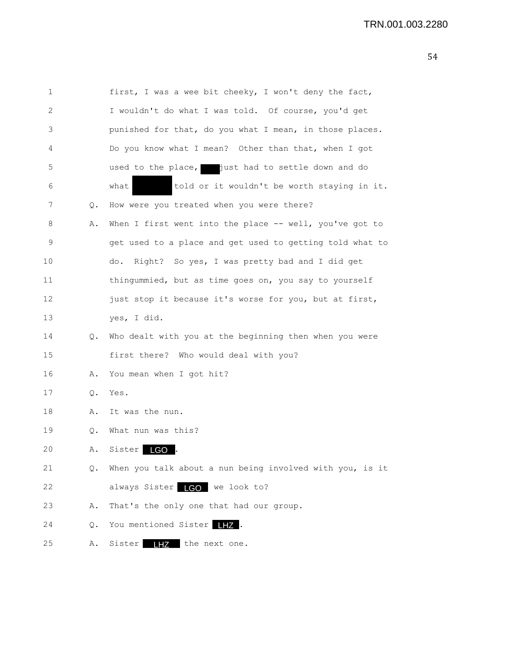| 1  |           | first, I was a wee bit cheeky, I won't deny the fact,    |
|----|-----------|----------------------------------------------------------|
| 2  |           | I wouldn't do what I was told. Of course, you'd get      |
| 3  |           | punished for that, do you what I mean, in those places.  |
| 4  |           | Do you know what I mean? Other than that, when I got     |
| 5  |           | used to the place, just had to settle down and do        |
| 6  |           | told or it wouldn't be worth staying in it.<br>what      |
| 7  | Q.        | How were you treated when you were there?                |
| 8  | Α.        | When I first went into the place -- well, you've got to  |
| 9  |           | get used to a place and get used to getting told what to |
| 10 |           | Right? So yes, I was pretty bad and I did get<br>do.     |
| 11 |           | thingummied, but as time goes on, you say to yourself    |
| 12 |           | just stop it because it's worse for you, but at first,   |
| 13 |           | yes, I did.                                              |
| 14 | Q.        | Who dealt with you at the beginning then when you were   |
| 15 |           | first there? Who would deal with you?                    |
| 16 | Α.        | You mean when I got hit?                                 |
| 17 | Q.        | Yes.                                                     |
| 18 | Α.        | It was the nun.                                          |
| 19 | $\circ$ . | What nun was this?                                       |
| 20 | Α.        | Sister  <br>LGO                                          |
| 21 | Q.        | When you talk about a nun being involved with you, is it |
| 22 |           | always Sister LGO we look to?                            |
| 23 | Α.        | That's the only one that had our group.                  |
| 24 | Q.        | You mentioned Sister IIZ.                                |
| 25 | Α.        | Sister<br><b>LHZ</b> the next one.                       |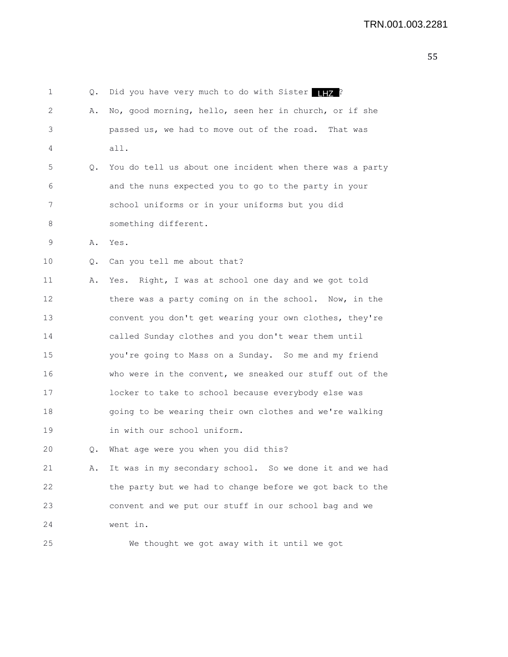1 Q. Did you have very much to do with Sister LHZ? 2 A. No, good morning, hello, seen her in church, or if she 3 passed us, we had to move out of the road. That was 4 all. 5 Q. You do tell us about one incident when there was a party 6 and the nuns expected you to go to the party in your 7 school uniforms or in your uniforms but you did 8 something different. 9 A. Yes. 10 Q. Can you tell me about that? 11 A. Yes. Right, I was at school one day and we got told 12 there was a party coming on in the school. Now, in the 13 convent you don't get wearing your own clothes, they're

14 called Sunday clothes and you don't wear them until 15 you're going to Mass on a Sunday. So me and my friend 16 who were in the convent, we sneaked our stuff out of the 17 locker to take to school because everybody else was 18 going to be wearing their own clothes and we're walking 19 in with our school uniform.

20 Q. What age were you when you did this?

21 A. It was in my secondary school. So we done it and we had 22 the party but we had to change before we got back to the 23 convent and we put our stuff in our school bag and we 24 went in.

25 We thought we got away with it until we got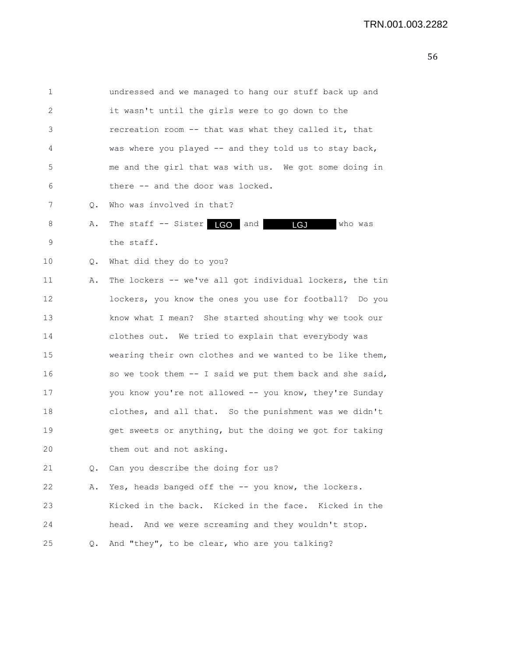| 1  |       | undressed and we managed to hang our stuff back up and   |
|----|-------|----------------------------------------------------------|
| 2  |       | it wasn't until the girls were to go down to the         |
| 3  |       | recreation room -- that was what they called it, that    |
| 4  |       | was where you played -- and they told us to stay back,   |
| 5  |       | me and the girl that was with us. We got some doing in   |
| 6  |       | there -- and the door was locked.                        |
| 7  | О.    | Who was involved in that?                                |
| 8  | Α.    | The staff -- Sister LGO and<br>who was<br>LGJ            |
| 9  |       | the staff.                                               |
| 10 | $Q$ . | What did they do to you?                                 |
| 11 | Α.    | The lockers -- we've all got individual lockers, the tin |
| 12 |       | lockers, you know the ones you use for football? Do you  |
| 13 |       | know what I mean? She started shouting why we took our   |
| 14 |       | clothes out. We tried to explain that everybody was      |
| 15 |       | wearing their own clothes and we wanted to be like them, |
| 16 |       | so we took them -- I said we put them back and she said, |
| 17 |       | you know you're not allowed -- you know, they're Sunday  |
| 18 |       | clothes, and all that. So the punishment was we didn't   |
| 19 |       | get sweets or anything, but the doing we got for taking  |
| 20 |       | them out and not asking.                                 |
| 21 | Q.    | Can you describe the doing for us?                       |
| 22 | Α.    | Yes, heads banged off the -- you know, the lockers.      |
| 23 |       | Kicked in the back. Kicked in the face. Kicked in the    |
| 24 |       | head. And we were screaming and they wouldn't stop.      |
| 25 | Q.    | And "they", to be clear, who are you talking?            |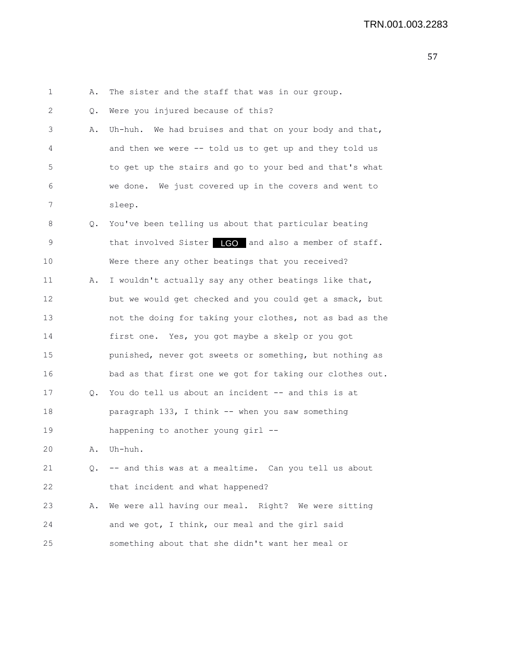1 A. The sister and the staff that was in our group. 2 Q. Were you injured because of this? 3 A. Uh-huh. We had bruises and that on your body and that, 4 and then we were -- told us to get up and they told us 5 to get up the stairs and go to your bed and that's what 6 we done. We just covered up in the covers and went to 7 sleep. 8 Q. You've been telling us about that particular beating 9 that involved Sister **LGO** and also a member of staff. 10 Were there any other beatings that you received? 11 A. I wouldn't actually say any other beatings like that, 12 but we would get checked and you could get a smack, but 13 not the doing for taking your clothes, not as bad as the 14 first one. Yes, you got maybe a skelp or you got 15 punished, never got sweets or something, but nothing as 16 bad as that first one we got for taking our clothes out. 17 Q. You do tell us about an incident -- and this is at 18 paragraph 133, I think -- when you saw something 19 happening to another young girl -- 20 A. Uh-huh. 21 Q. -- and this was at a mealtime. Can you tell us about 22 that incident and what happened? 23 A. We were all having our meal. Right? We were sitting 24 and we got, I think, our meal and the girl said 25 something about that she didn't want her meal or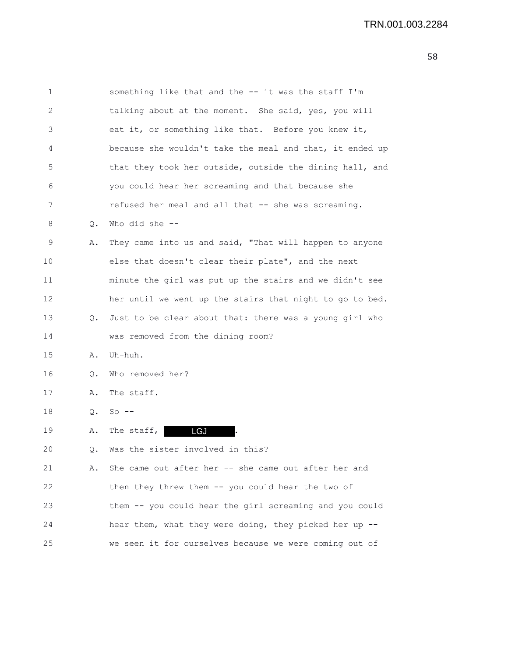| $\mathbf 1$       |    | something like that and the -- it was the staff I'm      |
|-------------------|----|----------------------------------------------------------|
| $\mathbf{2}$      |    | talking about at the moment. She said, yes, you will     |
| 3                 |    | eat it, or something like that. Before you knew it,      |
| 4                 |    | because she wouldn't take the meal and that, it ended up |
| 5                 |    | that they took her outside, outside the dining hall, and |
| 6                 |    | you could hear her screaming and that because she        |
| 7                 |    | refused her meal and all that -- she was screaming.      |
| 8                 | Q. | Who did she --                                           |
| 9                 | Α. | They came into us and said, "That will happen to anyone  |
| 10                |    | else that doesn't clear their plate", and the next       |
| 11                |    | minute the girl was put up the stairs and we didn't see  |
| $12 \overline{ }$ |    | her until we went up the stairs that night to go to bed. |
| 13                | Q. | Just to be clear about that: there was a young girl who  |
| 14                |    | was removed from the dining room?                        |
| 15                | Α. | Uh-huh.                                                  |
| 16                | Q. | Who removed her?                                         |
| 17                | Α. | The staff.                                               |
| 18                | Q. | $So$ --                                                  |
| 19                | Α. | <b>LGJ</b><br>The staff, $ $                             |
| 20                | Q. | Was the sister involved in this?                         |
| 21                | Α. | She came out after her -- she came out after her and     |
| 22                |    | then they threw them -- you could hear the two of        |
| 23                |    | them -- you could hear the girl screaming and you could  |
| 24                |    | hear them, what they were doing, they picked her up --   |
| 25                |    | we seen it for ourselves because we were coming out of   |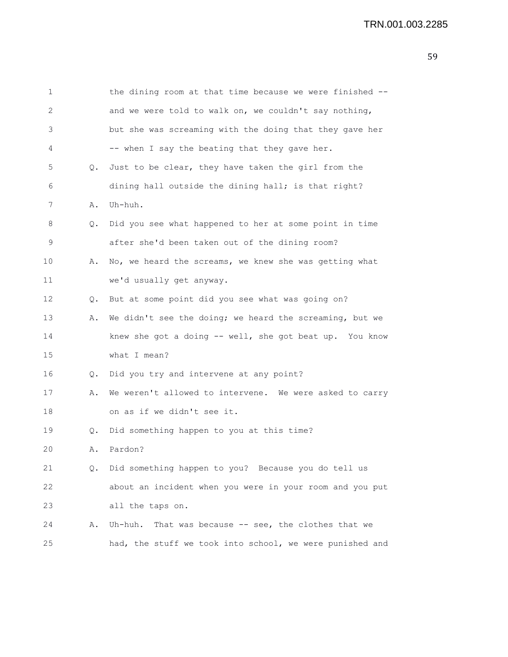| 1       |           | the dining room at that time because we were finished -- |
|---------|-----------|----------------------------------------------------------|
| 2       |           | and we were told to walk on, we couldn't say nothing,    |
| 3       |           | but she was screaming with the doing that they gave her  |
| 4       |           | -- when I say the beating that they gave her.            |
| 5       | $\circ$ . | Just to be clear, they have taken the girl from the      |
| 6       |           | dining hall outside the dining hall; is that right?      |
| 7       | Α.        | Uh-huh.                                                  |
| 8       | Q.        | Did you see what happened to her at some point in time   |
| 9       |           | after she'd been taken out of the dining room?           |
| $10 \,$ | Α.        | No, we heard the screams, we knew she was getting what   |
| 11      |           | we'd usually get anyway.                                 |
| 12      | Q.        | But at some point did you see what was going on?         |
| 13      | Α.        | We didn't see the doing; we heard the screaming, but we  |
| 14      |           | knew she got a doing -- well, she got beat up. You know  |
| 15      |           | what I mean?                                             |
| 16      | Q.        | Did you try and intervene at any point?                  |
| 17      | Α.        | We weren't allowed to intervene. We were asked to carry  |
| 18      |           | on as if we didn't see it.                               |
| 19      | Q.        | Did something happen to you at this time?                |
| 20      | Α.        | Pardon?                                                  |
| 21      | Q.        | Did something happen to you? Because you do tell us      |
| 22      |           | about an incident when you were in your room and you put |
| 23      |           | all the taps on.                                         |
| 24      | Α.        | Uh-huh. That was because -- see, the clothes that we     |
| 25      |           | had, the stuff we took into school, we were punished and |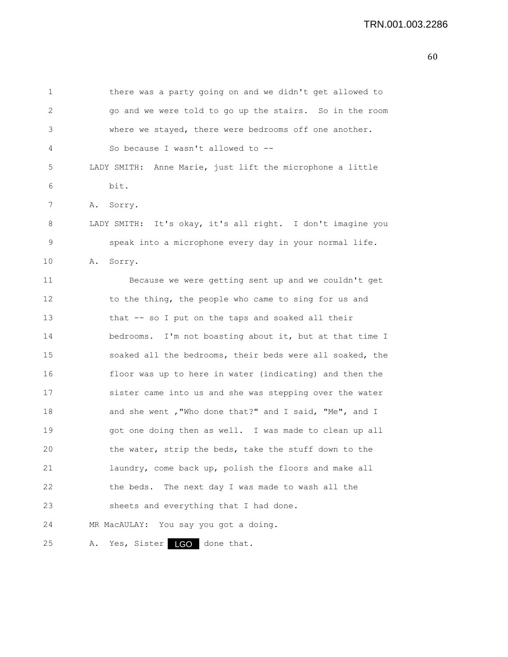| 1  | there was a party going on and we didn't get allowed to    |
|----|------------------------------------------------------------|
| 2  | go and we were told to go up the stairs. So in the room    |
| 3  | where we stayed, there were bedrooms off one another.      |
| 4  | So because I wasn't allowed to --                          |
| 5  | LADY SMITH: Anne Marie, just lift the microphone a little  |
| 6  | bit.                                                       |
| 7  | Α.<br>Sorry.                                               |
| 8  | LADY SMITH: It's okay, it's all right. I don't imagine you |
| 9  | speak into a microphone every day in your normal life.     |
| 10 | Sorry.<br>Α.                                               |
| 11 | Because we were getting sent up and we couldn't get        |
| 12 | to the thing, the people who came to sing for us and       |
| 13 | that -- so I put on the taps and soaked all their          |
| 14 | bedrooms. I'm not boasting about it, but at that time I    |
| 15 | soaked all the bedrooms, their beds were all soaked, the   |
| 16 | floor was up to here in water (indicating) and then the    |
| 17 | sister came into us and she was stepping over the water    |
| 18 | and she went, "Who done that?" and I said, "Me", and I     |
| 19 | got one doing then as well. I was made to clean up all     |
| 20 | the water, strip the beds, take the stuff down to the      |
| 21 | laundry, come back up, polish the floors and make all      |
| 22 | The next day I was made to wash all the<br>the beds.       |
| 23 | sheets and everything that I had done.                     |
| 24 | You say you got a doing.<br>MR MacAULAY:                   |
| 25 | Yes, Sister<br>LGO done that.<br>Α.                        |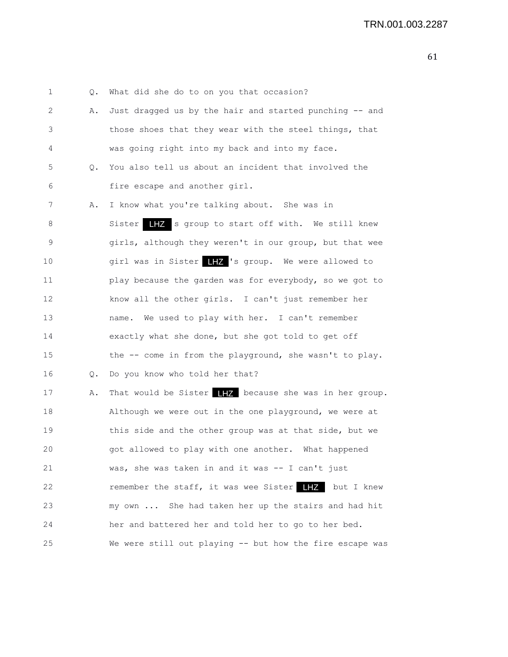1 Q. What did she do to on you that occasion? 2 A. Just dragged us by the hair and started punching -- and 3 those shoes that they wear with the steel things, that 4 was going right into my back and into my face. 5 Q. You also tell us about an incident that involved the 6 fire escape and another girl. 7 A. I know what you're talking about. She was in 8 Sister **IIZ** s group to start off with. We still knew 9 girls, although they weren't in our group, but that wee 10 9irl was in Sister 17 's group. We were allowed to 11 play because the garden was for everybody, so we got to 12 know all the other girls. I can't just remember her 13 name. We used to play with her. I can't remember 14 exactly what she done, but she got told to get off 15 the -- come in from the playground, she wasn't to play. 16 Q. Do you know who told her that? 17 A. That would be Sister  $\frac{1}{2}$  because she was in her group. 18 Although we were out in the one playground, we were at 19 this side and the other group was at that side, but we 20 got allowed to play with one another. What happened 21 was, she was taken in and it was -- I can't just 22 **remember the staff, it was wee Sister IHZ** but I knew 23 my own ... She had taken her up the stairs and had hit 24 her and battered her and told her to go to her bed. 25 We were still out playing -- but how the fire escape was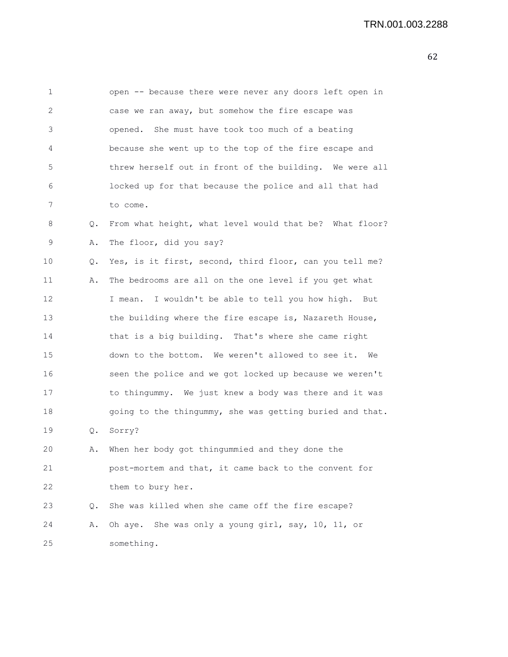| 1  |           | open -- because there were never any doors left open in  |
|----|-----------|----------------------------------------------------------|
| 2  |           | case we ran away, but somehow the fire escape was        |
| 3  |           | opened. She must have took too much of a beating         |
| 4  |           | because she went up to the top of the fire escape and    |
| 5  |           | threw herself out in front of the building. We were all  |
| 6  |           | locked up for that because the police and all that had   |
| 7  |           | to come.                                                 |
| 8  | Q.        | From what height, what level would that be? What floor?  |
| 9  | Α.        | The floor, did you say?                                  |
| 10 | Q.        | Yes, is it first, second, third floor, can you tell me?  |
| 11 | Α.        | The bedrooms are all on the one level if you get what    |
| 12 |           | I mean. I wouldn't be able to tell you how high. But     |
| 13 |           | the building where the fire escape is, Nazareth House,   |
| 14 |           | that is a big building. That's where she came right      |
| 15 |           | down to the bottom. We weren't allowed to see it. We     |
| 16 |           | seen the police and we got locked up because we weren't  |
| 17 |           | to thingummy. We just knew a body was there and it was   |
| 18 |           | going to the thingummy, she was getting buried and that. |
| 19 | Q.        | Sorry?                                                   |
| 20 | Α.        | When her body got thingummied and they done the          |
| 21 |           | post-mortem and that, it came back to the convent for    |
| 22 |           | them to bury her.                                        |
| 23 | $\circ$ . | She was killed when she came off the fire escape?        |
| 24 | Α.        | Oh aye. She was only a young girl, say, 10, 11, or       |
| 25 |           | something.                                               |
|    |           |                                                          |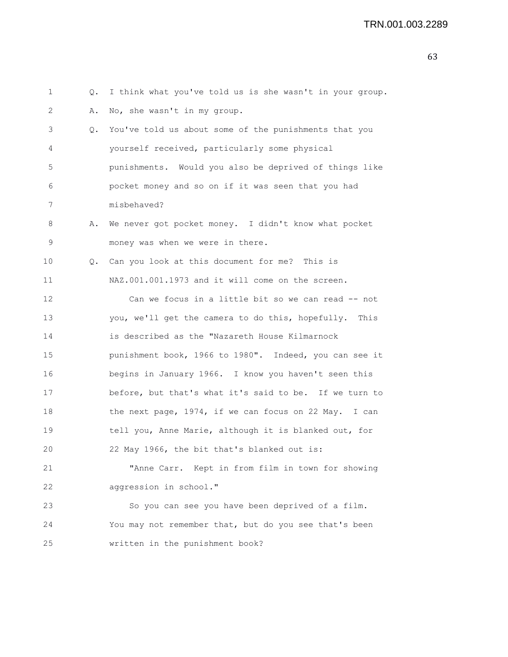| 1  | Q. | I think what you've told us is she wasn't in your group. |
|----|----|----------------------------------------------------------|
| 2  | Α. | No, she wasn't in my group.                              |
| 3  | Q. | You've told us about some of the punishments that you    |
| 4  |    | yourself received, particularly some physical            |
| 5  |    | punishments. Would you also be deprived of things like   |
| 6  |    | pocket money and so on if it was seen that you had       |
| 7  |    | misbehaved?                                              |
| 8  | Α. | We never got pocket money. I didn't know what pocket     |
| 9  |    | money was when we were in there.                         |
| 10 |    | Q. Can you look at this document for me? This is         |
| 11 |    | NAZ.001.001.1973 and it will come on the screen.         |
| 12 |    | Can we focus in a little bit so we can read -- not       |
| 13 |    | you, we'll get the camera to do this, hopefully. This    |
| 14 |    | is described as the "Nazareth House Kilmarnock           |
| 15 |    | punishment book, 1966 to 1980". Indeed, you can see it   |
| 16 |    | begins in January 1966. I know you haven't seen this     |
| 17 |    | before, but that's what it's said to be. If we turn to   |
| 18 |    | the next page, 1974, if we can focus on 22 May. I can    |
| 19 |    | tell you, Anne Marie, although it is blanked out, for    |
| 20 |    | 22 May 1966, the bit that's blanked out is:              |
| 21 |    | "Anne Carr. Kept in from film in town for showing        |
| 22 |    | aggression in school."                                   |
| 23 |    | So you can see you have been deprived of a film.         |
| 24 |    | You may not remember that, but do you see that's been    |
| 25 |    | written in the punishment book?                          |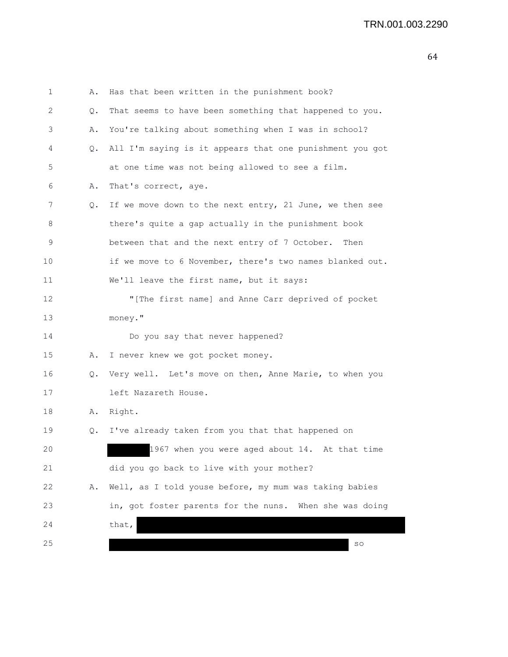| 1  | Α. | Has that been written in the punishment book?            |
|----|----|----------------------------------------------------------|
| 2  | Q. | That seems to have been something that happened to you.  |
| 3  | Α. | You're talking about something when I was in school?     |
| 4  | Q. | All I'm saying is it appears that one punishment you got |
| 5  |    | at one time was not being allowed to see a film.         |
| 6  | Α. | That's correct, aye.                                     |
| 7  | Q. | If we move down to the next entry, 21 June, we then see  |
| 8  |    | there's quite a gap actually in the punishment book      |
| 9  |    | between that and the next entry of 7 October.<br>Then    |
| 10 |    | if we move to 6 November, there's two names blanked out. |
| 11 |    | We'll leave the first name, but it says:                 |
| 12 |    | "[The first name] and Anne Carr deprived of pocket       |
| 13 |    | money."                                                  |
| 14 |    | Do you say that never happened?                          |
| 15 | Α. | I never knew we got pocket money.                        |
| 16 | Q. | Very well. Let's move on then, Anne Marie, to when you   |
| 17 |    | left Nazareth House.                                     |
| 18 | Α. | Right.                                                   |
| 19 | Q. | I've already taken from you that that happened on        |
| 20 |    | 1967 when you were aged about 14. At that time           |
| 21 |    | did you go back to live with your mother?                |
| 22 | Α. | Well, as I told youse before, my mum was taking babies   |
| 23 |    | in, got foster parents for the nuns. When she was doing  |
| 24 |    | that,                                                    |
| 25 |    | SO                                                       |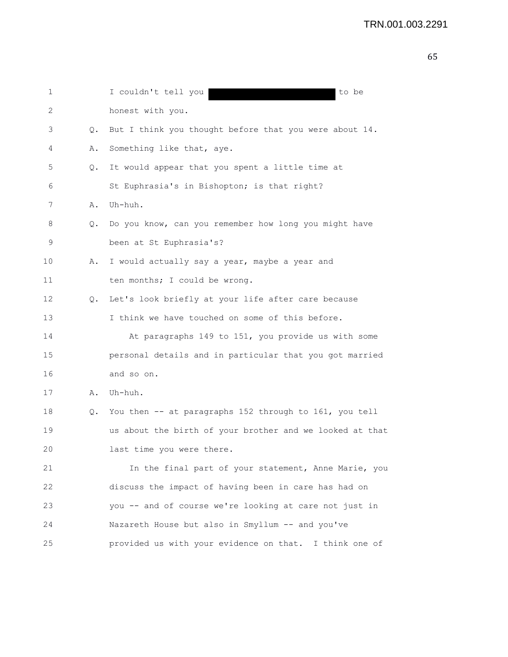| 1  |    | I couldn't tell you<br>to be                             |
|----|----|----------------------------------------------------------|
| 2  |    | honest with you.                                         |
| 3  | Q. | But I think you thought before that you were about 14.   |
| 4  | Α. | Something like that, aye.                                |
| 5  | Q. | It would appear that you spent a little time at          |
| 6  |    | St Euphrasia's in Bishopton; is that right?              |
| 7  | Α. | Uh-huh.                                                  |
| 8  | Q. | Do you know, can you remember how long you might have    |
| 9  |    | been at St Euphrasia's?                                  |
| 10 | Α. | I would actually say a year, maybe a year and            |
| 11 |    | ten months; I could be wrong.                            |
| 12 | Q. | Let's look briefly at your life after care because       |
| 13 |    | I think we have touched on some of this before.          |
| 14 |    | At paragraphs 149 to 151, you provide us with some       |
| 15 |    | personal details and in particular that you got married  |
| 16 |    | and so on.                                               |
| 17 | Α. | Uh-huh.                                                  |
| 18 | Q. | You then -- at paragraphs 152 through to 161, you tell   |
| 19 |    | us about the birth of your brother and we looked at that |
| 20 |    | last time you were there.                                |
| 21 |    | In the final part of your statement, Anne Marie, you     |
| 22 |    | discuss the impact of having been in care has had on     |
| 23 |    | you -- and of course we're looking at care not just in   |
| 24 |    | Nazareth House but also in Smyllum -- and you've         |
| 25 |    | provided us with your evidence on that. I think one of   |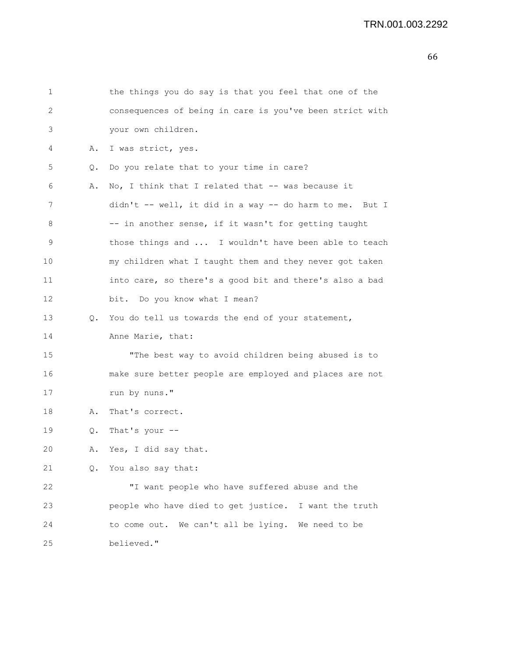```
1 the things you do say is that you feel that one of the
2 consequences of being in care is you've been strict with
3 your own children.
4 A. I was strict, yes.
5 Q. Do you relate that to your time in care?
6 A. No, I think that I related that -- was because it
7 didn't -- well, it did in a way -- do harm to me. But I
8 -- in another sense, if it wasn't for getting taught
9 those things and ... I wouldn't have been able to teach
10 my children what I taught them and they never got taken
11 into care, so there's a good bit and there's also a bad
12 bit. Do you know what I mean?
13 Q. You do tell us towards the end of your statement,
14 Anne Marie, that:
15 "The best way to avoid children being abused is to
16 make sure better people are employed and places are not
17 run by nuns."
18 A. That's correct.
19 Q. That's your --
20 A. Yes, I did say that.
21 Q. You also say that:
22 "I want people who have suffered abuse and the
23 people who have died to get justice. I want the truth
24 to come out. We can't all be lying. We need to be
25 believed."
```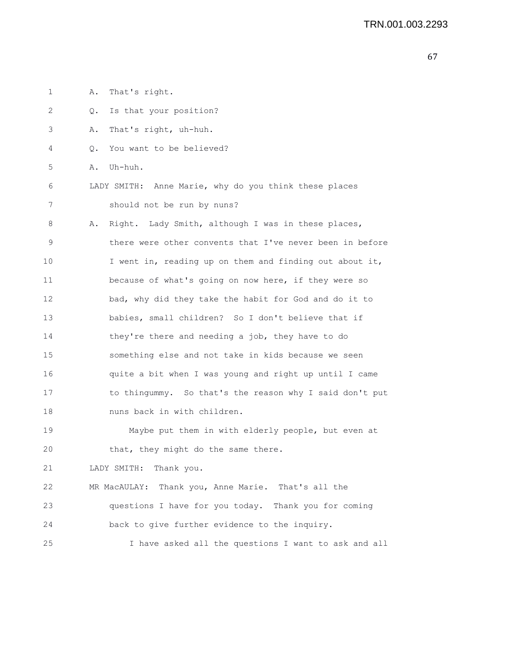1 A. That's right. 2 Q. Is that your position? 3 A. That's right, uh-huh. 4 Q. You want to be believed? 5 A. Uh-huh. 6 LADY SMITH: Anne Marie, why do you think these places 7 should not be run by nuns? 8 A. Right. Lady Smith, although I was in these places, 9 there were other convents that I've never been in before 10 I went in, reading up on them and finding out about it, 11 because of what's going on now here, if they were so 12 bad, why did they take the habit for God and do it to 13 babies, small children? So I don't believe that if 14 they're there and needing a job, they have to do 15 something else and not take in kids because we seen 16 quite a bit when I was young and right up until I came 17 to thingummy. So that's the reason why I said don't put 18 nuns back in with children. 19 Maybe put them in with elderly people, but even at 20 that, they might do the same there. 21 LADY SMITH: Thank you. 22 MR MacAULAY: Thank you, Anne Marie. That's all the 23 questions I have for you today. Thank you for coming 24 back to give further evidence to the inquiry. 25 I have asked all the questions I want to ask and all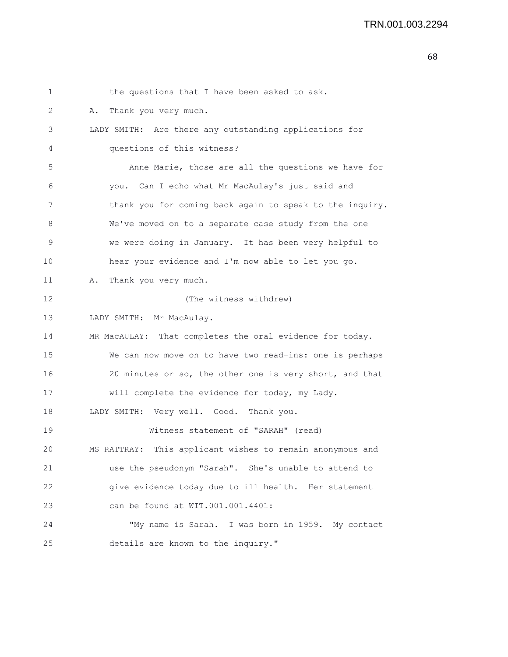1 the questions that I have been asked to ask. 2 A. Thank you very much. 3 LADY SMITH: Are there any outstanding applications for 4 questions of this witness? 5 Anne Marie, those are all the questions we have for 6 you. Can I echo what Mr MacAulay's just said and 7 thank you for coming back again to speak to the inquiry. 8 We've moved on to a separate case study from the one 9 we were doing in January. It has been very helpful to 10 hear your evidence and I'm now able to let you go. 11 A. Thank you very much. 12 (The witness withdrew) 13 LADY SMITH: Mr MacAulay. 14 MR MacAULAY: That completes the oral evidence for today. 15 We can now move on to have two read-ins: one is perhaps 16 20 minutes or so, the other one is very short, and that 17 will complete the evidence for today, my Lady. 18 LADY SMITH: Very well. Good. Thank you. 19 Witness statement of "SARAH" (read) 20 MS RATTRAY: This applicant wishes to remain anonymous and 21 use the pseudonym "Sarah". She's unable to attend to 22 give evidence today due to ill health. Her statement 23 can be found at WIT.001.001.4401: 24 "My name is Sarah. I was born in 1959. My contact 25 details are known to the inquiry."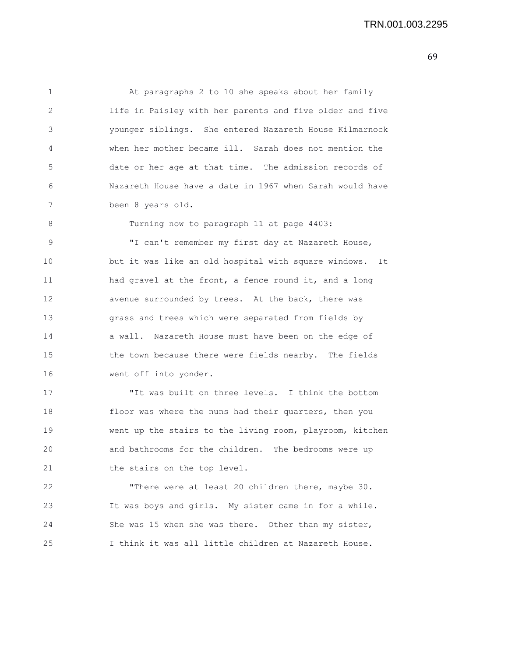1 At paragraphs 2 to 10 she speaks about her family 2 life in Paisley with her parents and five older and five 3 younger siblings. She entered Nazareth House Kilmarnock 4 when her mother became ill. Sarah does not mention the 5 date or her age at that time. The admission records of 6 Nazareth House have a date in 1967 when Sarah would have 7 been 8 years old.

8 Turning now to paragraph 11 at page 4403:

9 "I can't remember my first day at Nazareth House, 10 but it was like an old hospital with square windows. It 11 had gravel at the front, a fence round it, and a long 12 avenue surrounded by trees. At the back, there was 13 grass and trees which were separated from fields by 14 a wall. Nazareth House must have been on the edge of 15 the town because there were fields nearby. The fields 16 went off into yonder.

17 "It was built on three levels. I think the bottom 18 floor was where the nuns had their quarters, then you 19 went up the stairs to the living room, playroom, kitchen 20 and bathrooms for the children. The bedrooms were up 21 the stairs on the top level.

22 "There were at least 20 children there, maybe 30. 23 It was boys and girls. My sister came in for a while. 24 She was 15 when she was there. Other than my sister, 25 I think it was all little children at Nazareth House.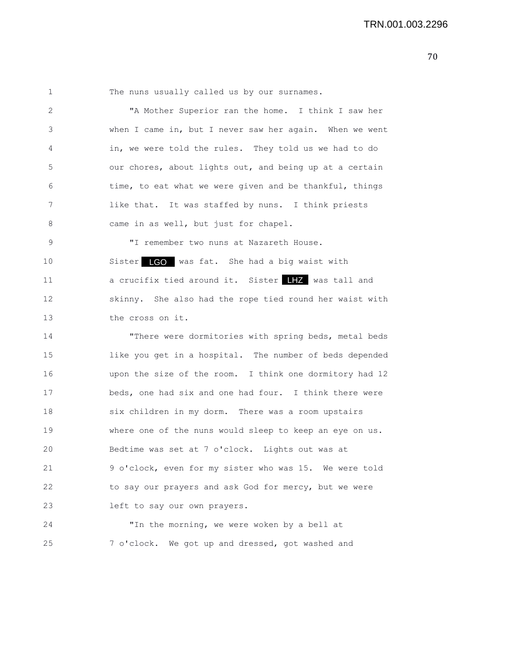1 The nuns usually called us by our surnames. 2 "A Mother Superior ran the home. I think I saw her 3 when I came in, but I never saw her again. When we went 4 in, we were told the rules. They told us we had to do 5 our chores, about lights out, and being up at a certain 6 time, to eat what we were given and be thankful, things 7 like that. It was staffed by nuns. I think priests 8 came in as well, but just for chapel. 9 "I remember two nuns at Nazareth House. 10 Sister LGO was fat. She had a big waist with 11 a crucifix tied around it. Sister **IIZ** was tall and 12 skinny. She also had the rope tied round her waist with 13 the cross on it. 14 "There were dormitories with spring beds, metal beds 15 like you get in a hospital. The number of beds depended 16 upon the size of the room. I think one dormitory had 12

17 beds, one had six and one had four. I think there were 18 six children in my dorm. There was a room upstairs 19 where one of the nuns would sleep to keep an eye on us. 20 Bedtime was set at 7 o'clock. Lights out was at 21 9 o'clock, even for my sister who was 15. We were told 22 to say our prayers and ask God for mercy, but we were 23 left to say our own prayers.

24 "In the morning, we were woken by a bell at 25 7 o'clock. We got up and dressed, got washed and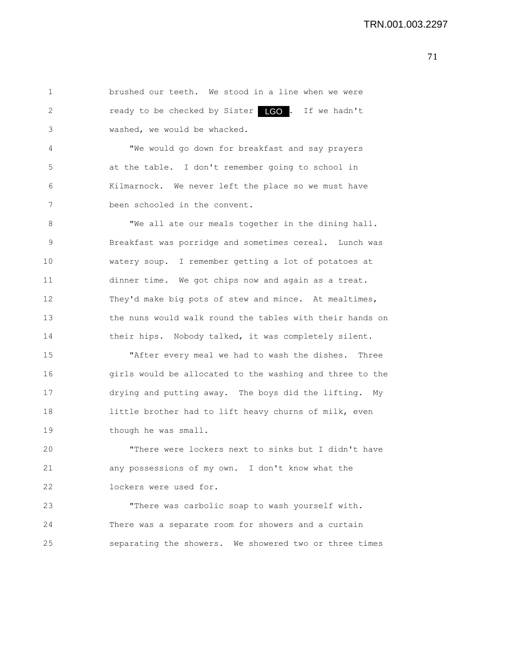1 brushed our teeth. We stood in a line when we were 2 ready to be checked by Sister LGO. If we hadn't 3 washed, we would be whacked.

4 "We would go down for breakfast and say prayers 5 at the table. I don't remember going to school in 6 Kilmarnock. We never left the place so we must have 7 been schooled in the convent.

8 "We all ate our meals together in the dining hall. 9 Breakfast was porridge and sometimes cereal. Lunch was 10 watery soup. I remember getting a lot of potatoes at 11 dinner time. We got chips now and again as a treat. 12 They'd make big pots of stew and mince. At mealtimes, 13 the nuns would walk round the tables with their hands on 14 their hips. Nobody talked, it was completely silent.

15 "After every meal we had to wash the dishes. Three 16 girls would be allocated to the washing and three to the 17 drying and putting away. The boys did the lifting. My 18 little brother had to lift heavy churns of milk, even 19 though he was small.

20 "There were lockers next to sinks but I didn't have 21 any possessions of my own. I don't know what the 22 lockers were used for.

23 "There was carbolic soap to wash yourself with. 24 There was a separate room for showers and a curtain 25 separating the showers. We showered two or three times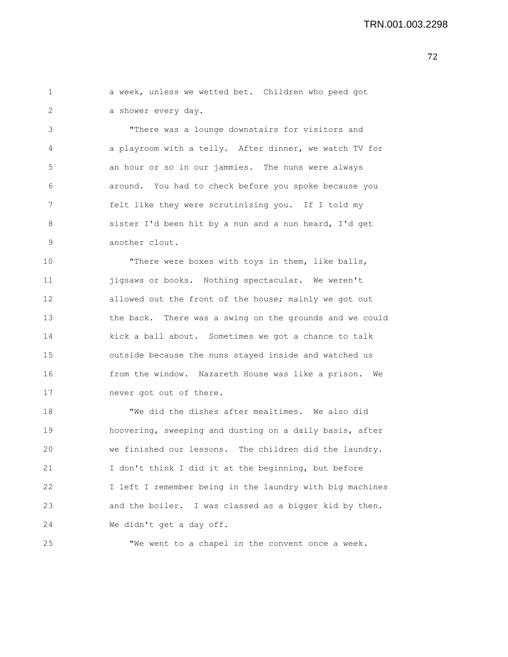|  |                     |  | a week, unless we wetted bet. Children who peed got |  |  |
|--|---------------------|--|-----------------------------------------------------|--|--|
|  | a shower every dav. |  |                                                     |  |  |

3 "There was a lounge downstairs for visitors and 4 a playroom with a telly. After dinner, we watch TV for 5 an hour or so in our jammies. The nuns were always 6 around. You had to check before you spoke because you 7 felt like they were scrutinising you. If I told my 8 sister I'd been hit by a nun and a nun heard, I'd get 9 another clout.

10 "There were boxes with toys in them, like balls, 11 **jigsaws or books.** Nothing spectacular. We weren't 12 allowed out the front of the house; mainly we got out 13 the back. There was a swing on the grounds and we could 14 kick a ball about. Sometimes we got a chance to talk 15 outside because the nuns stayed inside and watched us 16 from the window. Nazareth House was like a prison. We 17 never got out of there.

18 "We did the dishes after mealtimes. We also did 19 hoovering, sweeping and dusting on a daily basis, after 20 we finished our lessons. The children did the laundry. 21 I don't think I did it at the beginning, but before 22 I left I remember being in the laundry with big machines 23 and the boiler. I was classed as a bigger kid by then. 24 We didn't get a day off.

25 "We went to a chapel in the convent once a week.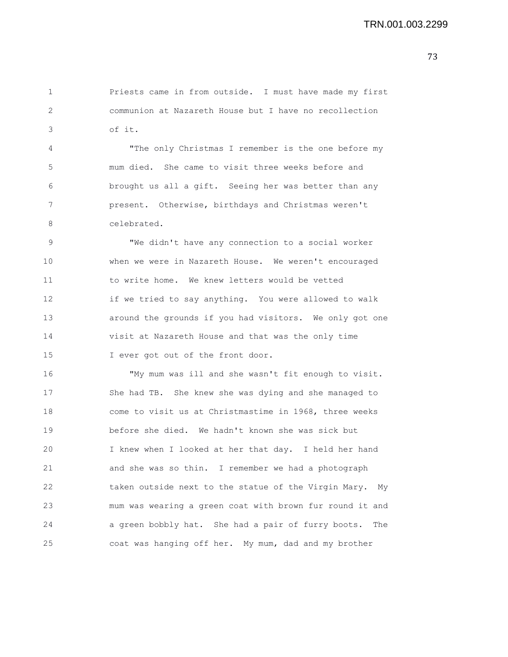1 Priests came in from outside. I must have made my first 2 communion at Nazareth House but I have no recollection 3 of it.

4 "The only Christmas I remember is the one before my 5 mum died. She came to visit three weeks before and 6 brought us all a gift. Seeing her was better than any 7 present. Otherwise, birthdays and Christmas weren't 8 celebrated.

9 "We didn't have any connection to a social worker 10 when we were in Nazareth House. We weren't encouraged 11 to write home. We knew letters would be vetted 12 if we tried to say anything. You were allowed to walk 13 around the grounds if you had visitors. We only got one 14 visit at Nazareth House and that was the only time 15 I ever got out of the front door.

16 "My mum was ill and she wasn't fit enough to visit. 17 She had TB. She knew she was dying and she managed to 18 come to visit us at Christmastime in 1968, three weeks 19 before she died. We hadn't known she was sick but 20 I knew when I looked at her that day. I held her hand 21 and she was so thin. I remember we had a photograph 22 taken outside next to the statue of the Virgin Mary. My 23 mum was wearing a green coat with brown fur round it and 24 a green bobbly hat. She had a pair of furry boots. The 25 coat was hanging off her. My mum, dad and my brother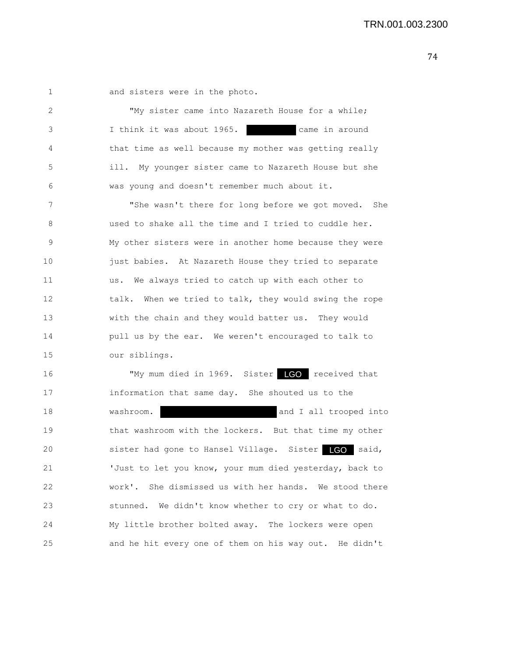1 and sisters were in the photo.

2 "My sister came into Nazareth House for a while; 3 I think it was about 1965. came in around 4 that time as well because my mother was getting really 5 ill. My younger sister came to Nazareth House but she 6 was young and doesn't remember much about it. 7 "She wasn't there for long before we got moved. She 8 used to shake all the time and I tried to cuddle her. 9 My other sisters were in another home because they were 10 just babies. At Nazareth House they tried to separate 11 us. We always tried to catch up with each other to 12 talk. When we tried to talk, they would swing the rope 13 with the chain and they would batter us. They would 14 pull us by the ear. We weren't encouraged to talk to 15 our siblings. 16 TMy mum died in 1969. Sister LGO received that 17 information that same day. She shouted us to the 18 washroom. A washroom. A state washroom. A state of and I all trooped into 19 that washroom with the lockers. But that time my other 20 sister had gone to Hansel Village. Sister LGO said, 21 'Just to let you know, your mum died yesterday, back to 22 work'. She dismissed us with her hands. We stood there 23 stunned. We didn't know whether to cry or what to do. 24 My little brother bolted away. The lockers were open 25 and he hit every one of them on his way out. He didn't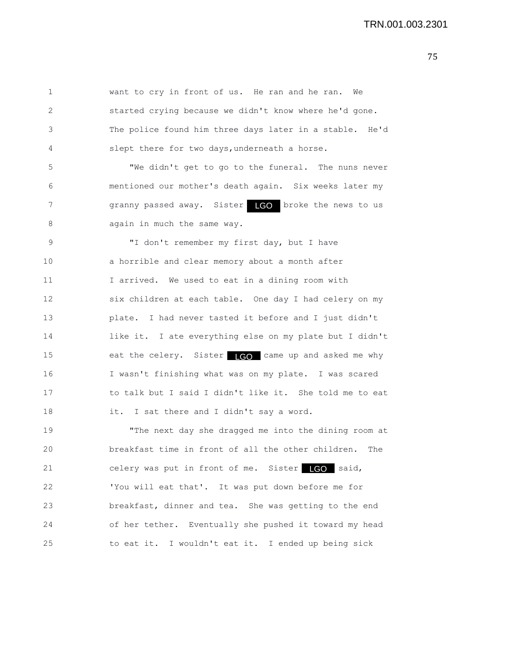1 want to cry in front of us. He ran and he ran. We 2 started crying because we didn't know where he'd gone. 3 The police found him three days later in a stable. He'd 4 slept there for two days,underneath a horse.

5 "We didn't get to go to the funeral. The nuns never 6 mentioned our mother's death again. Six weeks later my 7 9 granny passed away. Sister LGO broke the news to us 8 again in much the same way.

9 "I don't remember my first day, but I have 10 a horrible and clear memory about a month after 11 I arrived. We used to eat in a dining room with 12 six children at each table. One day I had celery on my 13 plate. I had never tasted it before and I just didn't 14 like it. I ate everything else on my plate but I didn't 15 eat the celery. Sister LCO came up and asked me why 16 I wasn't finishing what was on my plate. I was scared 17 to talk but I said I didn't like it. She told me to eat 18 it. I sat there and I didn't say a word.

19 "The next day she dragged me into the dining room at 20 breakfast time in front of all the other children. The 21 celery was put in front of me. Sister LGO said, 22 'You will eat that'. It was put down before me for 23 breakfast, dinner and tea. She was getting to the end 24 of her tether. Eventually she pushed it toward my head 25 to eat it. I wouldn't eat it. I ended up being sick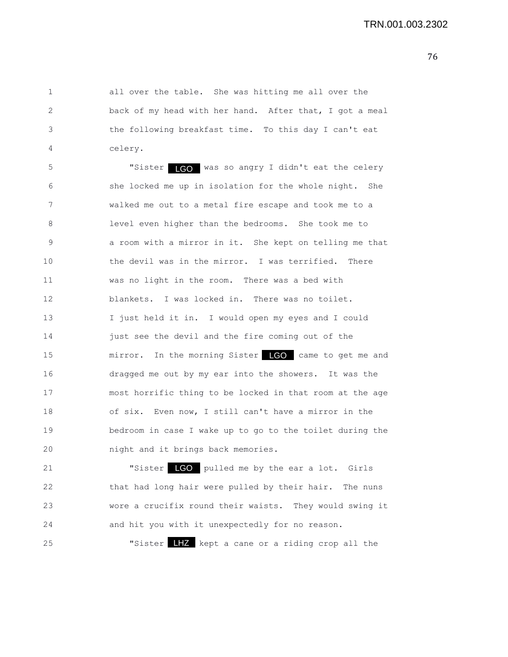1 all over the table. She was hitting me all over the 2 back of my head with her hand. After that, I got a meal 3 the following breakfast time. To this day I can't eat 4 celery.

5 "Sister LGO was so angry I didn't eat the celery 6 she locked me up in isolation for the whole night. She 7 walked me out to a metal fire escape and took me to a 8 level even higher than the bedrooms. She took me to 9 a room with a mirror in it. She kept on telling me that 10 the devil was in the mirror. I was terrified. There 11 was no light in the room. There was a bed with 12 blankets. I was locked in. There was no toilet. 13 I just held it in. I would open my eyes and I could 14 just see the devil and the fire coming out of the 15 mirror. In the morning Sister LGO came to get me and 16 dragged me out by my ear into the showers. It was the 17 most horrific thing to be locked in that room at the age 18 of six. Even now, I still can't have a mirror in the 19 bedroom in case I wake up to go to the toilet during the 20 night and it brings back memories.

21 **"Sister LGO** pulled me by the ear a lot. Girls 22 that had long hair were pulled by their hair. The nuns 23 wore a crucifix round their waists. They would swing it 24 and hit you with it unexpectedly for no reason.

25 The Suiter LHZ kept a cane or a riding crop all the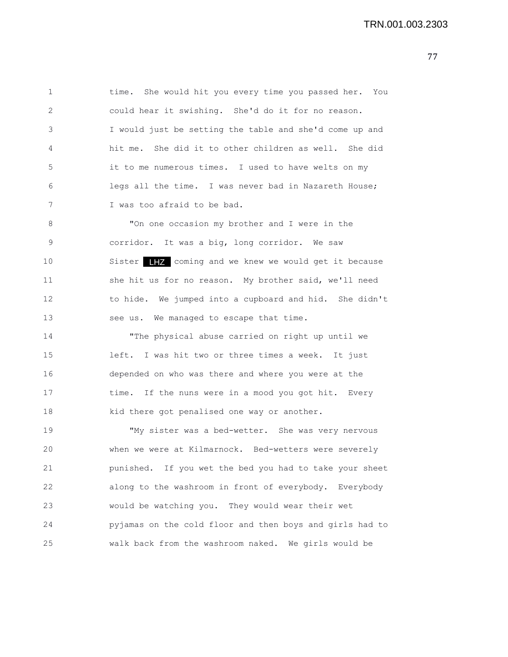1 time. She would hit you every time you passed her. You 2 could hear it swishing. She'd do it for no reason. 3 I would just be setting the table and she'd come up and 4 hit me. She did it to other children as well. She did 5 it to me numerous times. I used to have welts on my 6 legs all the time. I was never bad in Nazareth House; 7 I was too afraid to be bad.

8 "On one occasion my brother and I were in the 9 corridor. It was a big, long corridor. We saw 10 Sister THZ coming and we knew we would get it because 11 she hit us for no reason. My brother said, we'll need 12 to hide. We jumped into a cupboard and hid. She didn't 13 see us. We managed to escape that time.

14 "The physical abuse carried on right up until we 15 left. I was hit two or three times a week. It just 16 depended on who was there and where you were at the 17 time. If the nuns were in a mood you got hit. Every 18 kid there got penalised one way or another.

19 "My sister was a bed-wetter. She was very nervous 20 when we were at Kilmarnock. Bed-wetters were severely 21 punished. If you wet the bed you had to take your sheet 22 along to the washroom in front of everybody. Everybody 23 would be watching you. They would wear their wet 24 pyjamas on the cold floor and then boys and girls had to 25 walk back from the washroom naked. We girls would be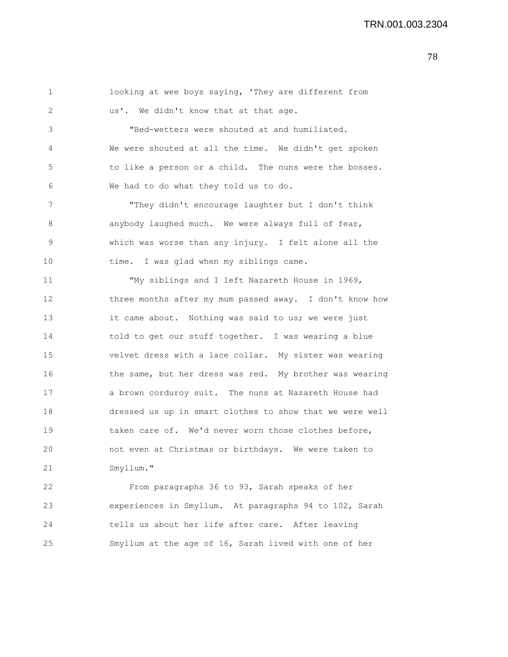| 1            | looking at wee boys saying, 'They are different from     |
|--------------|----------------------------------------------------------|
| $\mathbf{2}$ | us'. We didn't know that at that age.                    |
| 3            | "Bed-wetters were shouted at and humiliated.             |
| 4            | We were shouted at all the time. We didn't get spoken    |
| 5            | to like a person or a child. The nuns were the bosses.   |
| 6            | We had to do what they told us to do.                    |
| 7            | "They didn't encourage laughter but I don't think        |
| 8            | anybody laughed much. We were always full of fear,       |
| 9            | which was worse than any injury. I felt alone all the    |
| 10           | time. I was glad when my siblings came.                  |
| 11           | "My siblings and I left Nazareth House in 1969,          |
| 12           | three months after my mum passed away. I don't know how  |
| 13           | it came about. Nothing was said to us; we were just      |
| 14           | told to get our stuff together. I was wearing a blue     |
| 15           | velvet dress with a lace collar. My sister was wearing   |
| 16           | the same, but her dress was red. My brother was wearing  |
| 17           | a brown corduroy suit. The nuns at Nazareth House had    |
| 18           | dressed us up in smart clothes to show that we were well |
| 19           | taken care of. We'd never worn those clothes before,     |
| 20           | not even at Christmas or birthdays. We were taken to     |
| 21           | Smyllum."                                                |
|              |                                                          |

22 From paragraphs 36 to 93, Sarah speaks of her 23 experiences in Smyllum. At paragraphs 94 to 102, Sarah 24 tells us about her life after care. After leaving 25 Smyllum at the age of 16, Sarah lived with one of her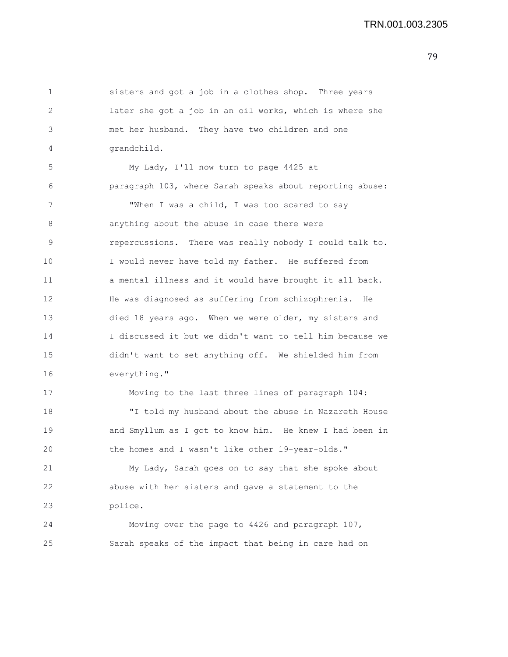1 sisters and got a job in a clothes shop. Three years 2 later she got a job in an oil works, which is where she 3 met her husband. They have two children and one 4 grandchild. 5 My Lady, I'll now turn to page 4425 at 6 paragraph 103, where Sarah speaks about reporting abuse: 7 When I was a child, I was too scared to say 8 **anything about the abuse in case there were** 9 repercussions. There was really nobody I could talk to. 10 I would never have told my father. He suffered from 11 a mental illness and it would have brought it all back. 12 He was diagnosed as suffering from schizophrenia. He 13 died 18 years ago. When we were older, my sisters and 14 I discussed it but we didn't want to tell him because we 15 didn't want to set anything off. We shielded him from 16 everything." 17 Moving to the last three lines of paragraph 104: 18 "I told my husband about the abuse in Nazareth House 19 and Smyllum as I got to know him. He knew I had been in 20 the homes and I wasn't like other 19-year-olds." 21 My Lady, Sarah goes on to say that she spoke about 22 abuse with her sisters and gave a statement to the 23 police. 24 Moving over the page to 4426 and paragraph 107, 25 Sarah speaks of the impact that being in care had on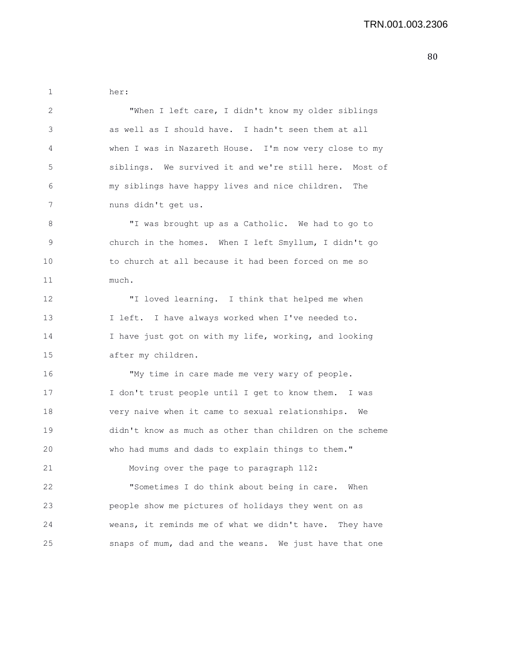1 her: 2 "When I left care, I didn't know my older siblings 3 as well as I should have. I hadn't seen them at all 4 when I was in Nazareth House. I'm now very close to my 5 siblings. We survived it and we're still here. Most of 6 my siblings have happy lives and nice children. The 7 nuns didn't get us. 8 "I was brought up as a Catholic. We had to go to 9 church in the homes. When I left Smyllum, I didn't go 10 to church at all because it had been forced on me so 11 much. 12 "I loved learning. I think that helped me when 13 I left. I have always worked when I've needed to. 14 I have just got on with my life, working, and looking 15 after my children. 16 "My time in care made me very wary of people. 17 I don't trust people until I get to know them. I was 18 very naive when it came to sexual relationships. We 19 didn't know as much as other than children on the scheme 20 who had mums and dads to explain things to them." 21 Moving over the page to paragraph 112: 22 "Sometimes I do think about being in care. When 23 people show me pictures of holidays they went on as 24 weans, it reminds me of what we didn't have. They have 25 snaps of mum, dad and the weans. We just have that one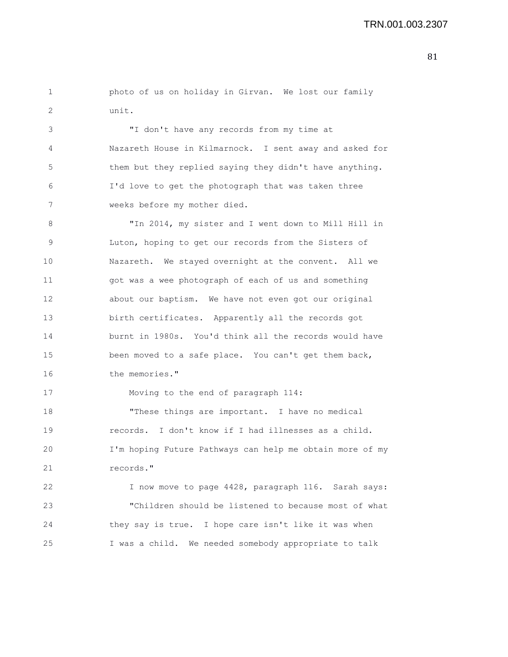1 photo of us on holiday in Girvan. We lost our family 2 unit.

3 "I don't have any records from my time at 4 Nazareth House in Kilmarnock. I sent away and asked for 5 them but they replied saying they didn't have anything. 6 I'd love to get the photograph that was taken three 7 weeks before my mother died.

8 "In 2014, my sister and I went down to Mill Hill in 9 Luton, hoping to get our records from the Sisters of 10 Nazareth. We stayed overnight at the convent. All we 11 got was a wee photograph of each of us and something 12 about our baptism. We have not even got our original 13 birth certificates. Apparently all the records got 14 burnt in 1980s. You'd think all the records would have 15 been moved to a safe place. You can't get them back, 16 the memories."

17 Moving to the end of paragraph 114:

18 "These things are important. I have no medical 19 records. I don't know if I had illnesses as a child. 20 I'm hoping Future Pathways can help me obtain more of my 21 records."

22 I now move to page 4428, paragraph 116. Sarah says: 23 "Children should be listened to because most of what 24 they say is true. I hope care isn't like it was when 25 I was a child. We needed somebody appropriate to talk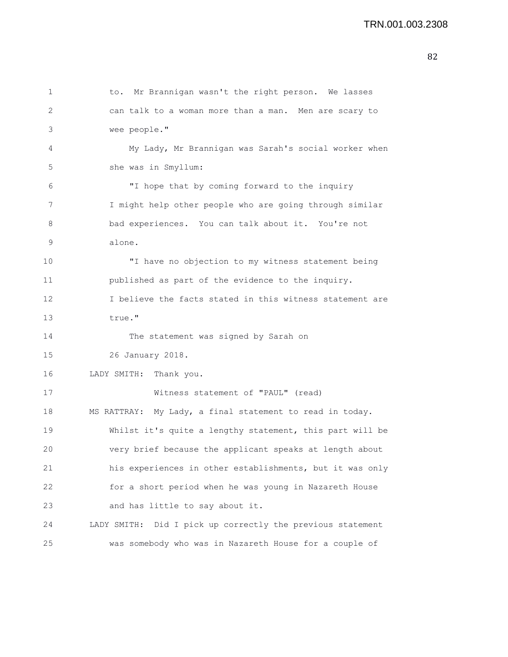```
1 to. Mr Brannigan wasn't the right person. We lasses
2 can talk to a woman more than a man. Men are scary to
3 wee people."
4 My Lady, Mr Brannigan was Sarah's social worker when
5 she was in Smyllum:
6 "I hope that by coming forward to the inquiry
7 I might help other people who are going through similar
8 bad experiences. You can talk about it. You're not
9 alone.
10 "I have no objection to my witness statement being
11 published as part of the evidence to the inquiry.
12 I believe the facts stated in this witness statement are
13 true."
14 The statement was signed by Sarah on
15 26 January 2018.
16 LADY SMITH: Thank you.
17 Witness statement of "PAUL" (read)
18 MS RATTRAY: My Lady, a final statement to read in today.
19 Whilst it's quite a lengthy statement, this part will be
20 very brief because the applicant speaks at length about
21 his experiences in other establishments, but it was only
22 for a short period when he was young in Nazareth House
23 and has little to say about it.
24 LADY SMITH: Did I pick up correctly the previous statement
25 was somebody who was in Nazareth House for a couple of
```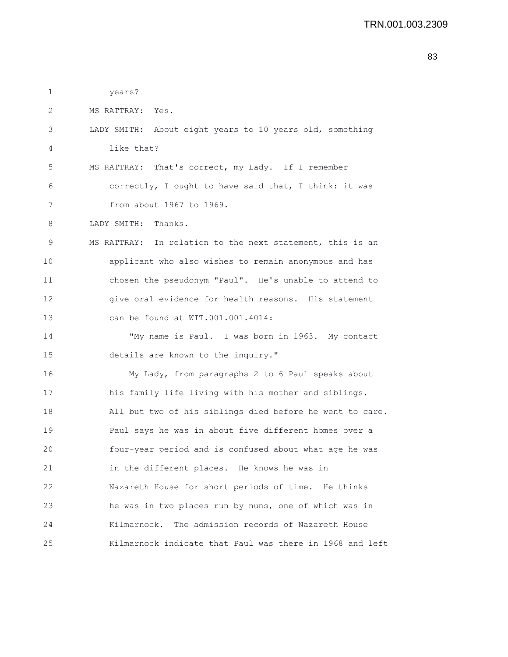1 years? 2 MS RATTRAY: Yes. 3 LADY SMITH: About eight years to 10 years old, something 4 like that? 5 MS RATTRAY: That's correct, my Lady. If I remember 6 correctly, I ought to have said that, I think: it was 7 from about 1967 to 1969. 8 LADY SMITH: Thanks. 9 MS RATTRAY: In relation to the next statement, this is an 10 applicant who also wishes to remain anonymous and has 11 chosen the pseudonym "Paul". He's unable to attend to 12 give oral evidence for health reasons. His statement 13 can be found at WIT.001.001.4014: 14 "My name is Paul. I was born in 1963. My contact 15 details are known to the inquiry." 16 My Lady, from paragraphs 2 to 6 Paul speaks about 17 his family life living with his mother and siblings. 18 All but two of his siblings died before he went to care. 19 Paul says he was in about five different homes over a 20 four-year period and is confused about what age he was 21 in the different places. He knows he was in 22 Nazareth House for short periods of time. He thinks 23 he was in two places run by nuns, one of which was in 24 Kilmarnock. The admission records of Nazareth House 25 Kilmarnock indicate that Paul was there in 1968 and left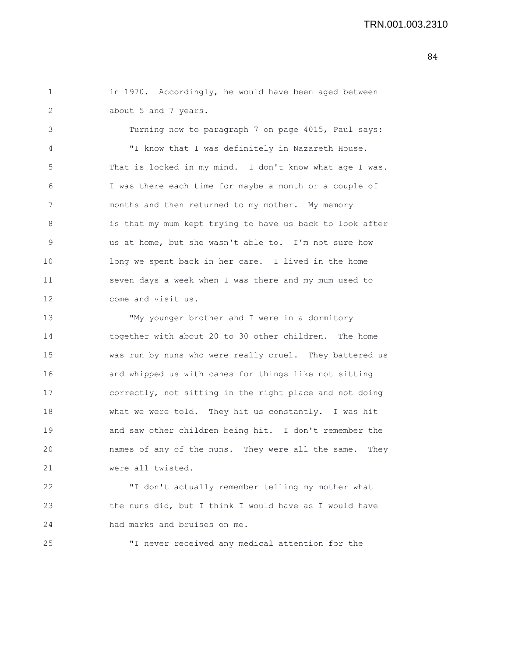1 in 1970. Accordingly, he would have been aged between 2 about 5 and 7 years.

3 Turning now to paragraph 7 on page 4015, Paul says: 4 "I know that I was definitely in Nazareth House. 5 That is locked in my mind. I don't know what age I was. 6 I was there each time for maybe a month or a couple of 7 months and then returned to my mother. My memory 8 is that my mum kept trying to have us back to look after 9 us at home, but she wasn't able to. I'm not sure how 10 long we spent back in her care. I lived in the home 11 seven days a week when I was there and my mum used to 12 come and visit us.

13 "My younger brother and I were in a dormitory 14 together with about 20 to 30 other children. The home 15 was run by nuns who were really cruel. They battered us 16 and whipped us with canes for things like not sitting 17 correctly, not sitting in the right place and not doing 18 what we were told. They hit us constantly. I was hit 19 and saw other children being hit. I don't remember the 20 names of any of the nuns. They were all the same. They 21 were all twisted.

22 "I don't actually remember telling my mother what 23 the nuns did, but I think I would have as I would have 24 had marks and bruises on me.

25 "I never received any medical attention for the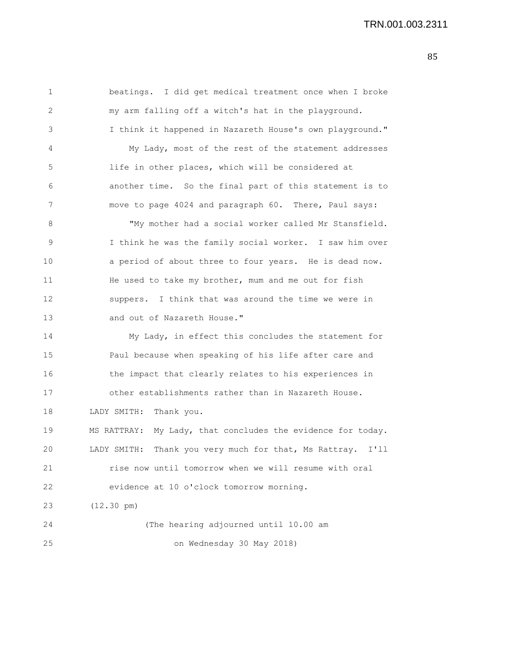1 beatings. I did get medical treatment once when I broke 2 my arm falling off a witch's hat in the playground. 3 I think it happened in Nazareth House's own playground." 4 My Lady, most of the rest of the statement addresses 5 life in other places, which will be considered at 6 another time. So the final part of this statement is to 7 move to page 4024 and paragraph 60. There, Paul says: 8 "My mother had a social worker called Mr Stansfield. 9 I think he was the family social worker. I saw him over 10 a period of about three to four years. He is dead now. 11 He used to take my brother, mum and me out for fish 12 suppers. I think that was around the time we were in 13 and out of Nazareth House." 14 My Lady, in effect this concludes the statement for 15 Paul because when speaking of his life after care and 16 the impact that clearly relates to his experiences in 17 other establishments rather than in Nazareth House. 18 LADY SMITH: Thank you. 19 MS RATTRAY: My Lady, that concludes the evidence for today. 20 LADY SMITH: Thank you very much for that, Ms Rattray. I'll 21 rise now until tomorrow when we will resume with oral 22 evidence at 10 o'clock tomorrow morning. 23 (12.30 pm) 24 (The hearing adjourned until 10.00 am 25 on Wednesday 30 May 2018)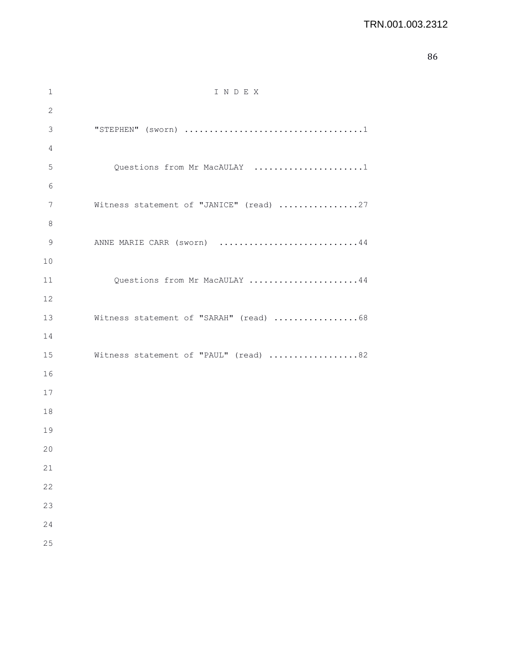| 1            | INDEX                                   |
|--------------|-----------------------------------------|
| $\mathbf{2}$ |                                         |
| 3            |                                         |
| 4            |                                         |
| 5            | Questions from Mr MacAULAY 1            |
| 6            |                                         |
| 7            | Witness statement of "JANICE" (read) 27 |
| 8            |                                         |
| 9            | ANNE MARIE CARR (sworn) 44              |
| 10           |                                         |
| 11           | Questions from Mr MacAULAY 44           |
| 12           |                                         |
| 13           | Witness statement of "SARAH" (read) 68  |
| 14           |                                         |
| 15           | Witness statement of "PAUL" (read) 82   |
| 16           |                                         |
| 17           |                                         |
| 18           |                                         |
| 19           |                                         |
| 20           |                                         |
| 21           |                                         |
| 22           |                                         |
| 23           |                                         |
| 24           |                                         |
| 25           |                                         |